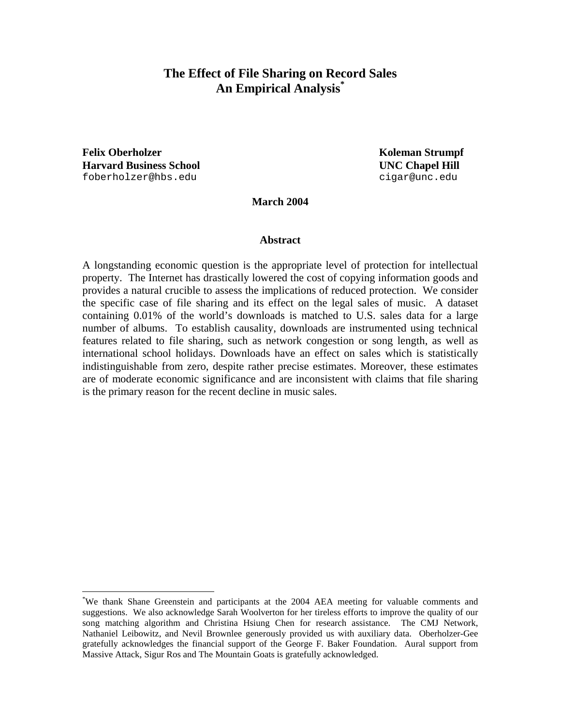# **The Effect of File Sharing on Record Sales An Empirical Analysis\***

**Felix Oberholzer**  The Coleman Strumpf *Koleman Strumpf Koleman Strumpf* **Harvard Business School UNC Chapel Hill**  foberholzer@hbs.edu cigar@unc.edu

<u>.</u>

**March 2004** 

#### **Abstract**

A longstanding economic question is the appropriate level of protection for intellectual property. The Internet has drastically lowered the cost of copying information goods and provides a natural crucible to assess the implications of reduced protection. We consider the specific case of file sharing and its effect on the legal sales of music. A dataset containing 0.01% of the world's downloads is matched to U.S. sales data for a large number of albums. To establish causality, downloads are instrumented using technical features related to file sharing, such as network congestion or song length, as well as international school holidays. Downloads have an effect on sales which is statistically indistinguishable from zero, despite rather precise estimates. Moreover, these estimates are of moderate economic significance and are inconsistent with claims that file sharing is the primary reason for the recent decline in music sales.

<sup>\*</sup> We thank Shane Greenstein and participants at the 2004 AEA meeting for valuable comments and suggestions. We also acknowledge Sarah Woolverton for her tireless efforts to improve the quality of our song matching algorithm and Christina Hsiung Chen for research assistance. The CMJ Network, Nathaniel Leibowitz, and Nevil Brownlee generously provided us with auxiliary data. Oberholzer-Gee gratefully acknowledges the financial support of the George F. Baker Foundation. Aural support from Massive Attack, Sigur Ros and The Mountain Goats is gratefully acknowledged.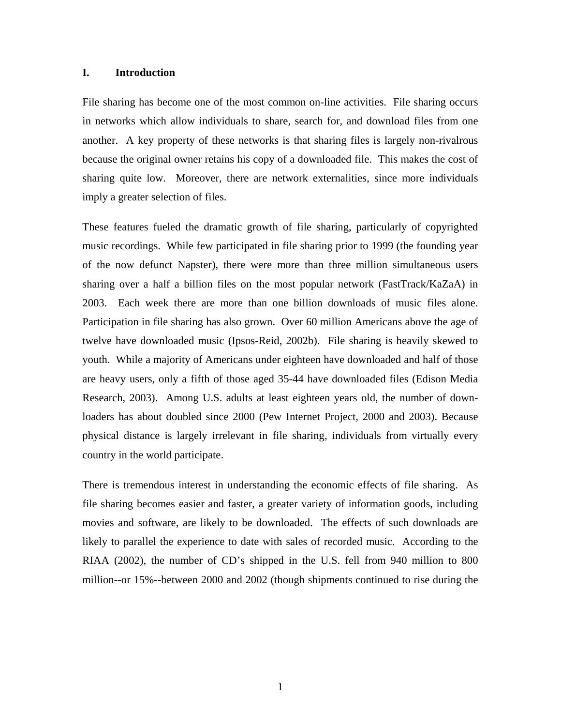#### **I. Introduction**

File sharing has become one of the most common on-line activities. File sharing occurs in networks which allow individuals to share, search for, and download files from one another. A key property of these networks is that sharing files is largely non-rivalrous because the original owner retains his copy of a downloaded file. This makes the cost of sharing quite low. Moreover, there are network externalities, since more individuals imply a greater selection of files.

These features fueled the dramatic growth of file sharing, particularly of copyrighted music recordings. While few participated in file sharing prior to 1999 (the founding year of the now defunct Napster), there were more than three million simultaneous users sharing over a half a billion files on the most popular network (FastTrack/KaZaA) in 2003. Each week there are more than one billion downloads of music files alone. Participation in file sharing has also grown. Over 60 million Americans above the age of twelve have downloaded music (Ipsos-Reid, 2002b). File sharing is heavily skewed to youth. While a majority of Americans under eighteen have downloaded and half of those are heavy users, only a fifth of those aged 35-44 have downloaded files (Edison Media Research, 2003). Among U.S. adults at least eighteen years old, the number of downloaders has about doubled since 2000 (Pew Internet Project, 2000 and 2003). Because physical distance is largely irrelevant in file sharing, individuals from virtually every country in the world participate.

There is tremendous interest in understanding the economic effects of file sharing. As file sharing becomes easier and faster, a greater variety of information goods, including movies and software, are likely to be downloaded. The effects of such downloads are likely to parallel the experience to date with sales of recorded music. According to the RIAA (2002), the number of CD's shipped in the U.S. fell from 940 million to 800 million--or 15%--between 2000 and 2002 (though shipments continued to rise during the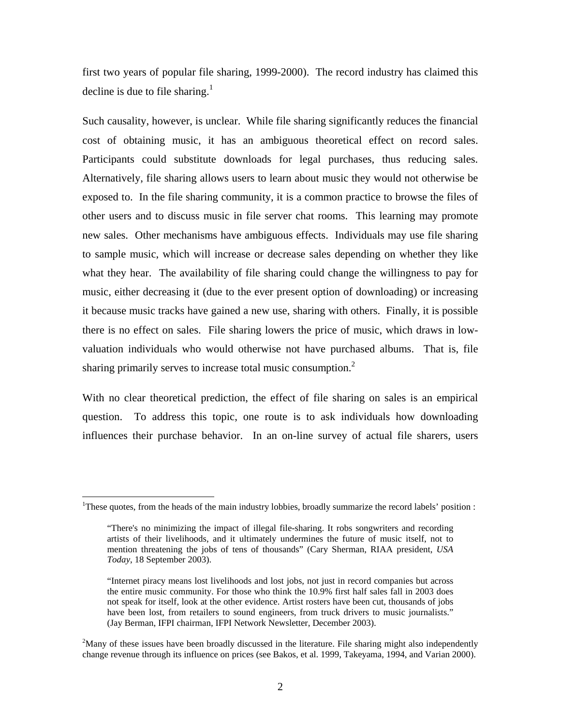first two years of popular file sharing, 1999-2000). The record industry has claimed this decline is due to file sharing.<sup>1</sup>

Such causality, however, is unclear. While file sharing significantly reduces the financial cost of obtaining music, it has an ambiguous theoretical effect on record sales. Participants could substitute downloads for legal purchases, thus reducing sales. Alternatively, file sharing allows users to learn about music they would not otherwise be exposed to. In the file sharing community, it is a common practice to browse the files of other users and to discuss music in file server chat rooms. This learning may promote new sales. Other mechanisms have ambiguous effects. Individuals may use file sharing to sample music, which will increase or decrease sales depending on whether they like what they hear. The availability of file sharing could change the willingness to pay for music, either decreasing it (due to the ever present option of downloading) or increasing it because music tracks have gained a new use, sharing with others. Finally, it is possible there is no effect on sales. File sharing lowers the price of music, which draws in lowvaluation individuals who would otherwise not have purchased albums. That is, file sharing primarily serves to increase total music consumption. $<sup>2</sup>$ </sup>

With no clear theoretical prediction, the effect of file sharing on sales is an empirical question. To address this topic, one route is to ask individuals how downloading influences their purchase behavior. In an on-line survey of actual file sharers, users

<sup>&</sup>lt;sup>1</sup>These quotes, from the heads of the main industry lobbies, broadly summarize the record labels' position :

<sup>&</sup>quot;There's no minimizing the impact of illegal file-sharing. It robs songwriters and recording artists of their livelihoods, and it ultimately undermines the future of music itself, not to mention threatening the jobs of tens of thousands" (Cary Sherman, RIAA president, *USA Today*, 18 September 2003).

<sup>&</sup>quot;Internet piracy means lost livelihoods and lost jobs, not just in record companies but across the entire music community. For those who think the 10.9% first half sales fall in 2003 does not speak for itself, look at the other evidence. Artist rosters have been cut, thousands of jobs have been lost, from retailers to sound engineers, from truck drivers to music journalists." (Jay Berman, IFPI chairman, IFPI Network Newsletter, December 2003).

 $2<sup>2</sup>$ Many of these issues have been broadly discussed in the literature. File sharing might also independently change revenue through its influence on prices (see Bakos, et al. 1999, Takeyama, 1994, and Varian 2000).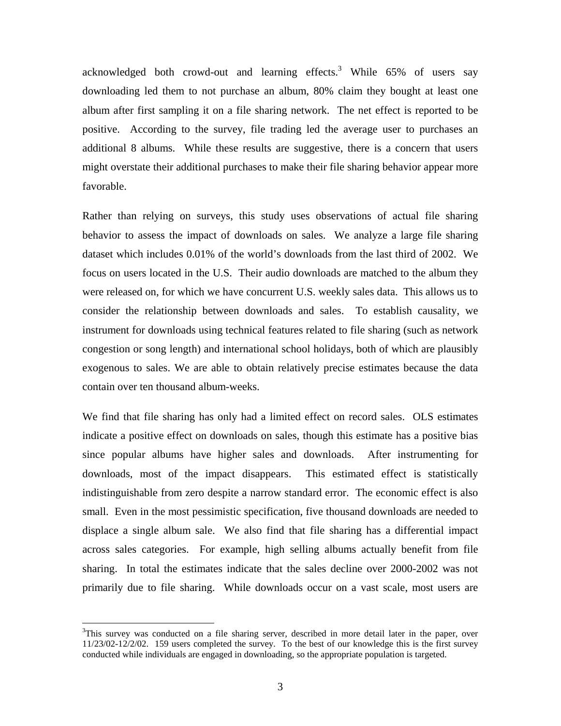acknowledged both crowd-out and learning effects.<sup>3</sup> While  $65\%$  of users say downloading led them to not purchase an album, 80% claim they bought at least one album after first sampling it on a file sharing network. The net effect is reported to be positive. According to the survey, file trading led the average user to purchases an additional 8 albums. While these results are suggestive, there is a concern that users might overstate their additional purchases to make their file sharing behavior appear more favorable.

Rather than relying on surveys, this study uses observations of actual file sharing behavior to assess the impact of downloads on sales. We analyze a large file sharing dataset which includes 0.01% of the world's downloads from the last third of 2002. We focus on users located in the U.S. Their audio downloads are matched to the album they were released on, for which we have concurrent U.S. weekly sales data. This allows us to consider the relationship between downloads and sales. To establish causality, we instrument for downloads using technical features related to file sharing (such as network congestion or song length) and international school holidays, both of which are plausibly exogenous to sales. We are able to obtain relatively precise estimates because the data contain over ten thousand album-weeks.

We find that file sharing has only had a limited effect on record sales. OLS estimates indicate a positive effect on downloads on sales, though this estimate has a positive bias since popular albums have higher sales and downloads. After instrumenting for downloads, most of the impact disappears. This estimated effect is statistically indistinguishable from zero despite a narrow standard error. The economic effect is also small. Even in the most pessimistic specification, five thousand downloads are needed to displace a single album sale. We also find that file sharing has a differential impact across sales categories. For example, high selling albums actually benefit from file sharing. In total the estimates indicate that the sales decline over 2000-2002 was not primarily due to file sharing. While downloads occur on a vast scale, most users are

<sup>&</sup>lt;sup>3</sup>This survey was conducted on a file sharing server, described in more detail later in the paper, over 11/23/02-12/2/02. 159 users completed the survey. To the best of our knowledge this is the first survey conducted while individuals are engaged in downloading, so the appropriate population is targeted.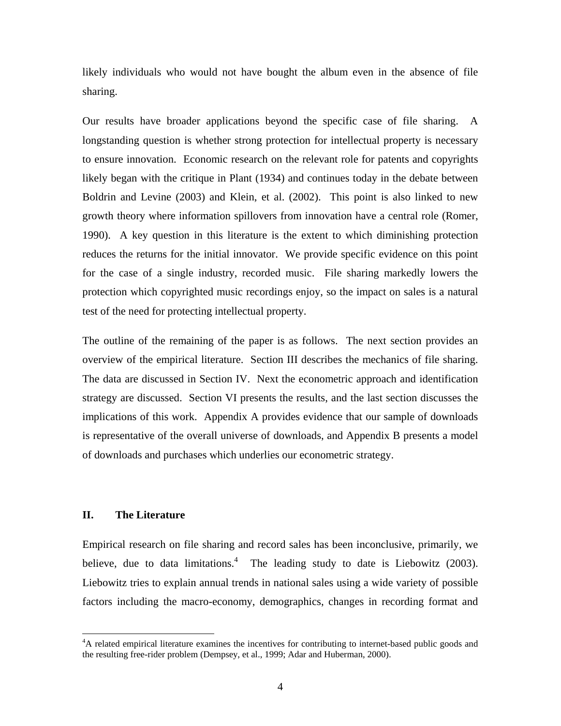likely individuals who would not have bought the album even in the absence of file sharing.

Our results have broader applications beyond the specific case of file sharing. A longstanding question is whether strong protection for intellectual property is necessary to ensure innovation. Economic research on the relevant role for patents and copyrights likely began with the critique in Plant (1934) and continues today in the debate between Boldrin and Levine (2003) and Klein, et al. (2002). This point is also linked to new growth theory where information spillovers from innovation have a central role (Romer, 1990). A key question in this literature is the extent to which diminishing protection reduces the returns for the initial innovator. We provide specific evidence on this point for the case of a single industry, recorded music. File sharing markedly lowers the protection which copyrighted music recordings enjoy, so the impact on sales is a natural test of the need for protecting intellectual property.

The outline of the remaining of the paper is as follows. The next section provides an overview of the empirical literature. Section III describes the mechanics of file sharing. The data are discussed in Section IV. Next the econometric approach and identification strategy are discussed. Section VI presents the results, and the last section discusses the implications of this work. Appendix A provides evidence that our sample of downloads is representative of the overall universe of downloads, and Appendix B presents a model of downloads and purchases which underlies our econometric strategy.

## **II. The Literature**

<u>.</u>

Empirical research on file sharing and record sales has been inconclusive, primarily, we believe, due to data limitations.<sup>4</sup> The leading study to date is Liebowitz (2003). Liebowitz tries to explain annual trends in national sales using a wide variety of possible factors including the macro-economy, demographics, changes in recording format and

<sup>&</sup>lt;sup>4</sup>A related empirical literature examines the incentives for contributing to internet-based public goods and the resulting free-rider problem (Dempsey, et al., 1999; Adar and Huberman, 2000).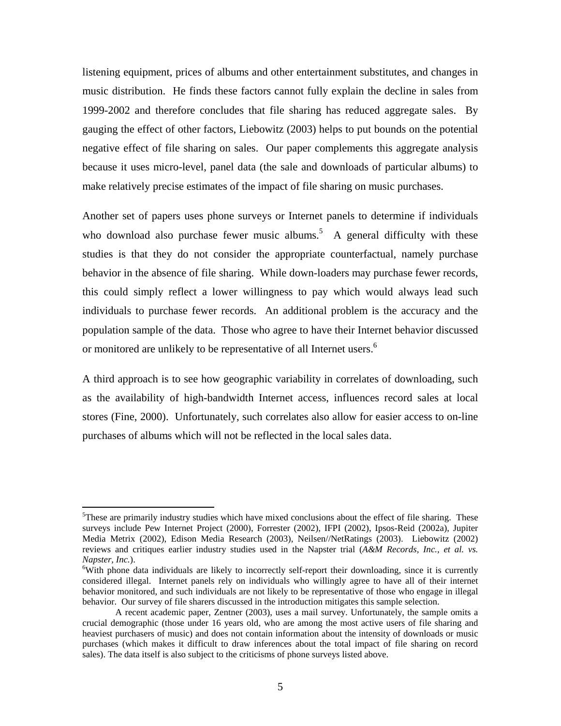listening equipment, prices of albums and other entertainment substitutes, and changes in music distribution. He finds these factors cannot fully explain the decline in sales from 1999-2002 and therefore concludes that file sharing has reduced aggregate sales. By gauging the effect of other factors, Liebowitz (2003) helps to put bounds on the potential negative effect of file sharing on sales. Our paper complements this aggregate analysis because it uses micro-level, panel data (the sale and downloads of particular albums) to make relatively precise estimates of the impact of file sharing on music purchases.

Another set of papers uses phone surveys or Internet panels to determine if individuals who download also purchase fewer music albums.<sup>5</sup> A general difficulty with these studies is that they do not consider the appropriate counterfactual, namely purchase behavior in the absence of file sharing. While down-loaders may purchase fewer records, this could simply reflect a lower willingness to pay which would always lead such individuals to purchase fewer records. An additional problem is the accuracy and the population sample of the data. Those who agree to have their Internet behavior discussed or monitored are unlikely to be representative of all Internet users.<sup>6</sup>

A third approach is to see how geographic variability in correlates of downloading, such as the availability of high-bandwidth Internet access, influences record sales at local stores (Fine, 2000). Unfortunately, such correlates also allow for easier access to on-line purchases of albums which will not be reflected in the local sales data.

1

<sup>&</sup>lt;sup>5</sup>These are primarily industry studies which have mixed conclusions about the effect of file sharing. These surveys include Pew Internet Project (2000), Forrester (2002), IFPI (2002), Ipsos-Reid (2002a), Jupiter Media Metrix (2002), Edison Media Research (2003), Neilsen//NetRatings (2003). Liebowitz (2002) reviews and critiques earlier industry studies used in the Napster trial (*A&M Records, Inc., et al. vs. Napster, Inc.*). 6

<sup>&</sup>lt;sup>6</sup>With phone data individuals are likely to incorrectly self-report their downloading, since it is currently considered illegal. Internet panels rely on individuals who willingly agree to have all of their internet behavior monitored, and such individuals are not likely to be representative of those who engage in illegal behavior. Our survey of file sharers discussed in the introduction mitigates this sample selection.

A recent academic paper, Zentner (2003), uses a mail survey. Unfortunately, the sample omits a crucial demographic (those under 16 years old, who are among the most active users of file sharing and heaviest purchasers of music) and does not contain information about the intensity of downloads or music purchases (which makes it difficult to draw inferences about the total impact of file sharing on record sales). The data itself is also subject to the criticisms of phone surveys listed above.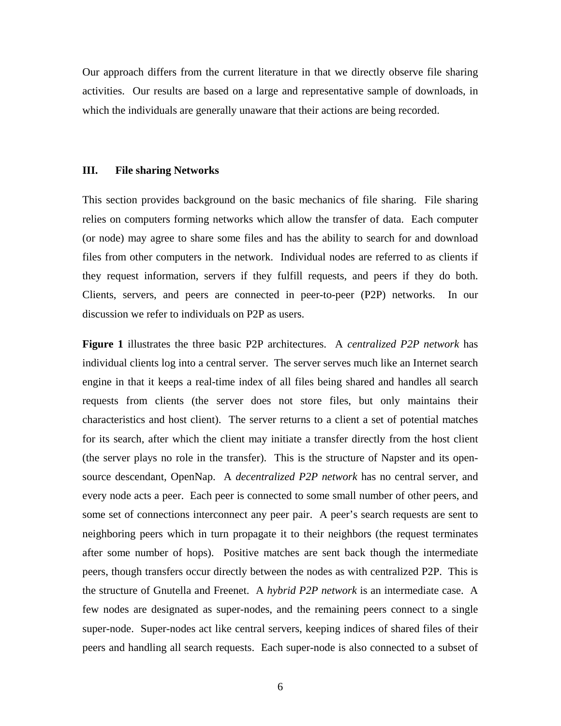Our approach differs from the current literature in that we directly observe file sharing activities. Our results are based on a large and representative sample of downloads, in which the individuals are generally unaware that their actions are being recorded.

#### **III. File sharing Networks**

This section provides background on the basic mechanics of file sharing. File sharing relies on computers forming networks which allow the transfer of data. Each computer (or node) may agree to share some files and has the ability to search for and download files from other computers in the network. Individual nodes are referred to as clients if they request information, servers if they fulfill requests, and peers if they do both. Clients, servers, and peers are connected in peer-to-peer (P2P) networks. In our discussion we refer to individuals on P2P as users.

**Figure 1** illustrates the three basic P2P architectures. A *centralized P2P network* has individual clients log into a central server. The server serves much like an Internet search engine in that it keeps a real-time index of all files being shared and handles all search requests from clients (the server does not store files, but only maintains their characteristics and host client). The server returns to a client a set of potential matches for its search, after which the client may initiate a transfer directly from the host client (the server plays no role in the transfer). This is the structure of Napster and its opensource descendant, OpenNap. A *decentralized P2P network* has no central server, and every node acts a peer. Each peer is connected to some small number of other peers, and some set of connections interconnect any peer pair. A peer's search requests are sent to neighboring peers which in turn propagate it to their neighbors (the request terminates after some number of hops). Positive matches are sent back though the intermediate peers, though transfers occur directly between the nodes as with centralized P2P. This is the structure of Gnutella and Freenet. A *hybrid P2P network* is an intermediate case. A few nodes are designated as super-nodes, and the remaining peers connect to a single super-node. Super-nodes act like central servers, keeping indices of shared files of their peers and handling all search requests. Each super-node is also connected to a subset of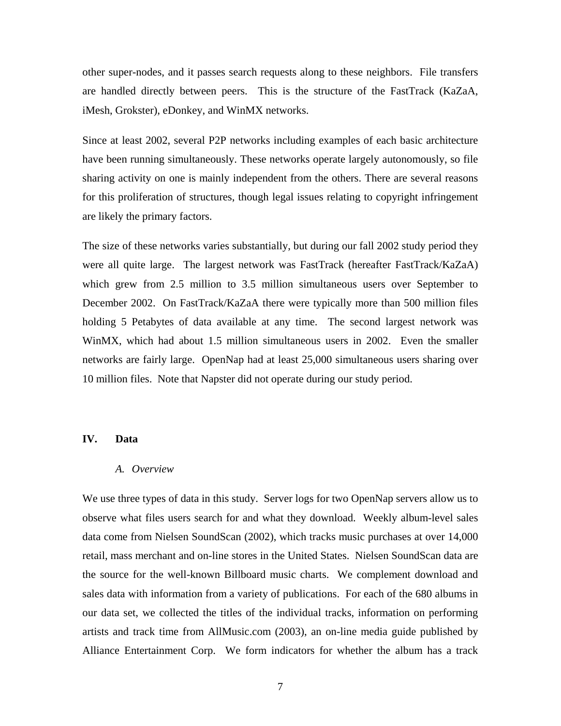other super-nodes, and it passes search requests along to these neighbors. File transfers are handled directly between peers. This is the structure of the FastTrack (KaZaA, iMesh, Grokster), eDonkey, and WinMX networks.

Since at least 2002, several P2P networks including examples of each basic architecture have been running simultaneously. These networks operate largely autonomously, so file sharing activity on one is mainly independent from the others. There are several reasons for this proliferation of structures, though legal issues relating to copyright infringement are likely the primary factors.

The size of these networks varies substantially, but during our fall 2002 study period they were all quite large. The largest network was FastTrack (hereafter FastTrack/KaZaA) which grew from 2.5 million to 3.5 million simultaneous users over September to December 2002. On FastTrack/KaZaA there were typically more than 500 million files holding 5 Petabytes of data available at any time. The second largest network was WinMX, which had about 1.5 million simultaneous users in 2002. Even the smaller networks are fairly large. OpenNap had at least 25,000 simultaneous users sharing over 10 million files. Note that Napster did not operate during our study period.

#### **IV. Data**

#### *A. Overview*

We use three types of data in this study. Server logs for two OpenNap servers allow us to observe what files users search for and what they download. Weekly album-level sales data come from Nielsen SoundScan (2002), which tracks music purchases at over 14,000 retail, mass merchant and on-line stores in the United States. Nielsen SoundScan data are the source for the well-known Billboard music charts. We complement download and sales data with information from a variety of publications. For each of the 680 albums in our data set, we collected the titles of the individual tracks, information on performing artists and track time from AllMusic.com (2003), an on-line media guide published by Alliance Entertainment Corp. We form indicators for whether the album has a track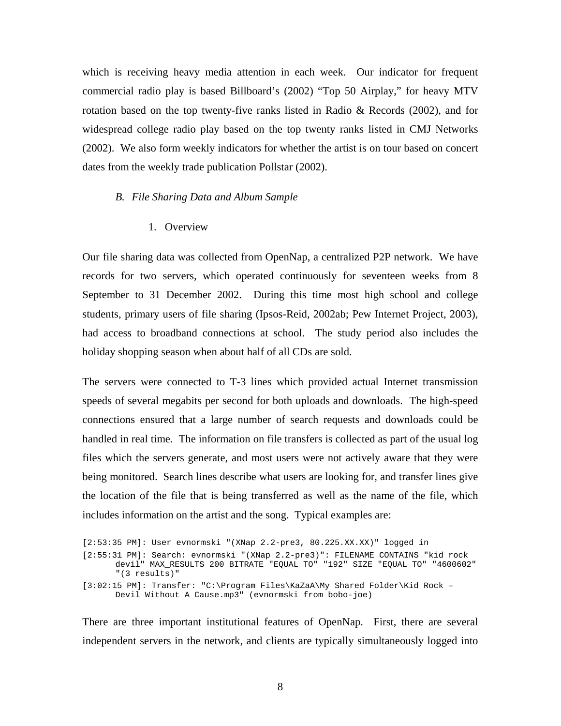which is receiving heavy media attention in each week. Our indicator for frequent commercial radio play is based Billboard's (2002) "Top 50 Airplay," for heavy MTV rotation based on the top twenty-five ranks listed in Radio & Records (2002), and for widespread college radio play based on the top twenty ranks listed in CMJ Networks (2002). We also form weekly indicators for whether the artist is on tour based on concert dates from the weekly trade publication Pollstar (2002).

#### *B. File Sharing Data and Album Sample*

1. Overview

Our file sharing data was collected from OpenNap, a centralized P2P network. We have records for two servers, which operated continuously for seventeen weeks from 8 September to 31 December 2002. During this time most high school and college students, primary users of file sharing (Ipsos-Reid, 2002ab; Pew Internet Project, 2003), had access to broadband connections at school. The study period also includes the holiday shopping season when about half of all CDs are sold.

The servers were connected to T-3 lines which provided actual Internet transmission speeds of several megabits per second for both uploads and downloads. The high-speed connections ensured that a large number of search requests and downloads could be handled in real time. The information on file transfers is collected as part of the usual log files which the servers generate, and most users were not actively aware that they were being monitored. Search lines describe what users are looking for, and transfer lines give the location of the file that is being transferred as well as the name of the file, which includes information on the artist and the song. Typical examples are:

[2:53:35 PM]: User evnormski "(XNap 2.2-pre3, 80.225.XX.XX)" logged in [2:55:31 PM]: Search: evnormski "(XNap 2.2-pre3)": FILENAME CONTAINS "kid rock devil" MAX\_RESULTS 200 BITRATE "EQUAL TO" "192" SIZE "EQUAL TO" "4600602" "(3 results)" [3:02:15 PM]: Transfer: "C:\Program Files\KaZaA\My Shared Folder\Kid Rock – Devil Without A Cause.mp3" (evnormski from bobo-joe)

There are three important institutional features of OpenNap. First, there are several independent servers in the network, and clients are typically simultaneously logged into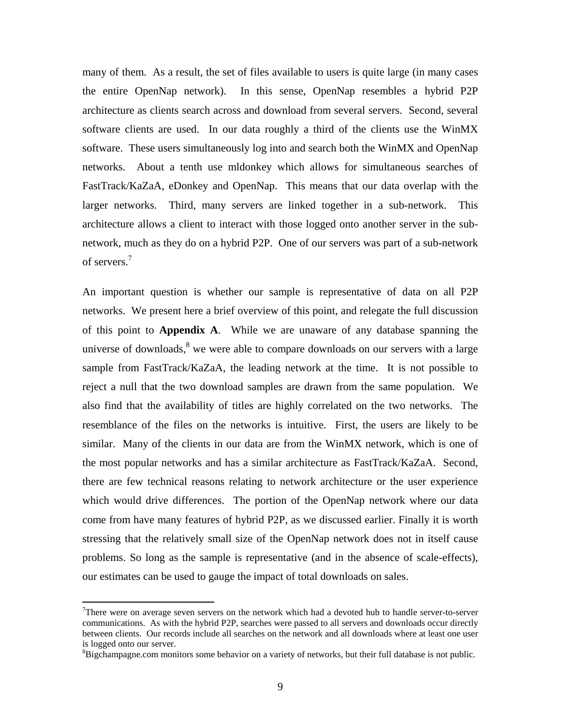many of them. As a result, the set of files available to users is quite large (in many cases the entire OpenNap network). In this sense, OpenNap resembles a hybrid P2P architecture as clients search across and download from several servers. Second, several software clients are used. In our data roughly a third of the clients use the WinMX software. These users simultaneously log into and search both the WinMX and OpenNap networks. About a tenth use mldonkey which allows for simultaneous searches of FastTrack/KaZaA, eDonkey and OpenNap. This means that our data overlap with the larger networks. Third, many servers are linked together in a sub-network. This architecture allows a client to interact with those logged onto another server in the subnetwork, much as they do on a hybrid P2P. One of our servers was part of a sub-network of servers.<sup>7</sup>

An important question is whether our sample is representative of data on all P2P networks. We present here a brief overview of this point, and relegate the full discussion of this point to **Appendix A**. While we are unaware of any database spanning the universe of downloads, $8$  we were able to compare downloads on our servers with a large sample from FastTrack/KaZaA, the leading network at the time. It is not possible to reject a null that the two download samples are drawn from the same population. We also find that the availability of titles are highly correlated on the two networks. The resemblance of the files on the networks is intuitive. First, the users are likely to be similar. Many of the clients in our data are from the WinMX network, which is one of the most popular networks and has a similar architecture as FastTrack/KaZaA. Second, there are few technical reasons relating to network architecture or the user experience which would drive differences. The portion of the OpenNap network where our data come from have many features of hybrid P2P, as we discussed earlier. Finally it is worth stressing that the relatively small size of the OpenNap network does not in itself cause problems. So long as the sample is representative (and in the absence of scale-effects), our estimates can be used to gauge the impact of total downloads on sales.

1

<sup>&</sup>lt;sup>7</sup>There were on average seven servers on the network which had a devoted hub to handle server-to-server communications. As with the hybrid P2P, searches were passed to all servers and downloads occur directly between clients. Our records include all searches on the network and all downloads where at least one user is logged onto our server.

<sup>&</sup>lt;sup>8</sup>Bigchampagne.com monitors some behavior on a variety of networks, but their full database is not public.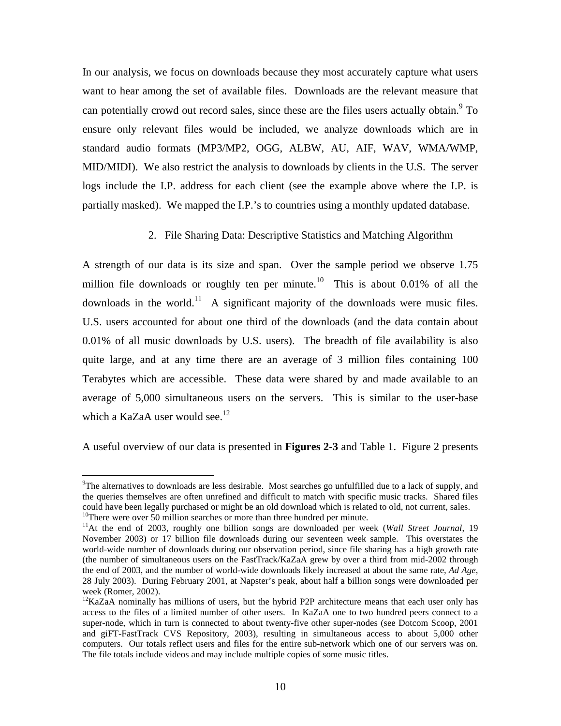In our analysis, we focus on downloads because they most accurately capture what users want to hear among the set of available files. Downloads are the relevant measure that can potentially crowd out record sales, since these are the files users actually obtain.<sup>9</sup> To ensure only relevant files would be included, we analyze downloads which are in standard audio formats (MP3/MP2, OGG, ALBW, AU, AIF, WAV, WMA/WMP, MID/MIDI). We also restrict the analysis to downloads by clients in the U.S. The server logs include the I.P. address for each client (see the example above where the I.P. is partially masked). We mapped the I.P.'s to countries using a monthly updated database.

#### 2. File Sharing Data: Descriptive Statistics and Matching Algorithm

A strength of our data is its size and span. Over the sample period we observe 1.75 million file downloads or roughly ten per minute.<sup>10</sup> This is about 0.01% of all the downloads in the world.<sup>11</sup> A significant majority of the downloads were music files. U.S. users accounted for about one third of the downloads (and the data contain about 0.01% of all music downloads by U.S. users). The breadth of file availability is also quite large, and at any time there are an average of 3 million files containing 100 Terabytes which are accessible. These data were shared by and made available to an average of 5,000 simultaneous users on the servers. This is similar to the user-base which a KaZaA user would see.<sup>12</sup>

A useful overview of our data is presented in **Figures 2-3** and Table 1. Figure 2 presents

-

<sup>&</sup>lt;sup>9</sup>The alternatives to downloads are less desirable. Most searches go unfulfilled due to a lack of supply, and the queries themselves are often unrefined and difficult to match with specific music tracks. Shared files could have been legally purchased or might be an old download which is related to old, not current, sales. <sup>10</sup>There were over  $\overline{50}$  million searches or more than three hundred per minute.

<sup>11</sup>At the end of 2003, roughly one billion songs are downloaded per week (*Wall Street Journal*, 19

November 2003) or 17 billion file downloads during our seventeen week sample. This overstates the world-wide number of downloads during our observation period, since file sharing has a high growth rate (the number of simultaneous users on the FastTrack/KaZaA grew by over a third from mid-2002 through the end of 2003, and the number of world-wide downloads likely increased at about the same rate, *Ad Age*, 28 July 2003). During February 2001, at Napster's peak, about half a billion songs were downloaded per week (Romer, 2002).

<sup>&</sup>lt;sup>12</sup>KaZaA nominally has millions of users, but the hybrid P2P architecture means that each user only has access to the files of a limited number of other users. In KaZaA one to two hundred peers connect to a super-node, which in turn is connected to about twenty-five other super-nodes (see Dotcom Scoop, 2001 and giFT-FastTrack CVS Repository, 2003), resulting in simultaneous access to about 5,000 other computers. Our totals reflect users and files for the entire sub-network which one of our servers was on. The file totals include videos and may include multiple copies of some music titles.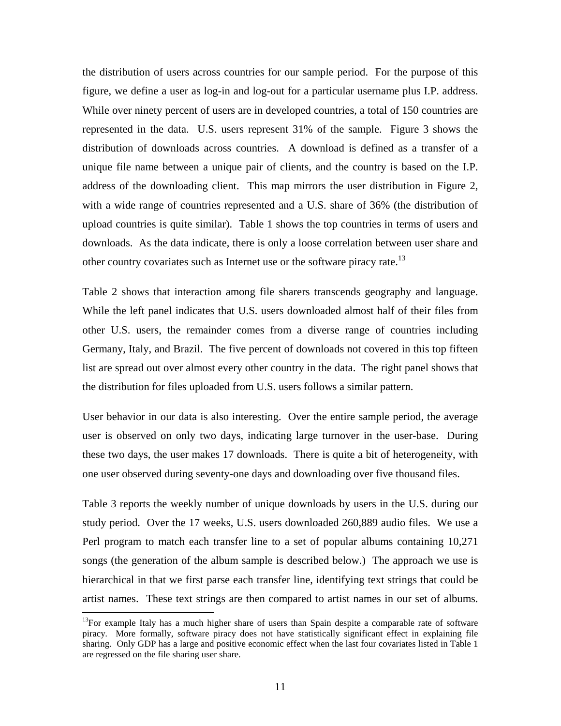the distribution of users across countries for our sample period. For the purpose of this figure, we define a user as log-in and log-out for a particular username plus I.P. address. While over ninety percent of users are in developed countries, a total of 150 countries are represented in the data. U.S. users represent 31% of the sample. Figure 3 shows the distribution of downloads across countries. A download is defined as a transfer of a unique file name between a unique pair of clients, and the country is based on the I.P. address of the downloading client. This map mirrors the user distribution in Figure 2, with a wide range of countries represented and a U.S. share of 36% (the distribution of upload countries is quite similar). Table 1 shows the top countries in terms of users and downloads. As the data indicate, there is only a loose correlation between user share and other country covariates such as Internet use or the software piracy rate.<sup>13</sup>

Table 2 shows that interaction among file sharers transcends geography and language. While the left panel indicates that U.S. users downloaded almost half of their files from other U.S. users, the remainder comes from a diverse range of countries including Germany, Italy, and Brazil. The five percent of downloads not covered in this top fifteen list are spread out over almost every other country in the data. The right panel shows that the distribution for files uploaded from U.S. users follows a similar pattern.

User behavior in our data is also interesting. Over the entire sample period, the average user is observed on only two days, indicating large turnover in the user-base. During these two days, the user makes 17 downloads. There is quite a bit of heterogeneity, with one user observed during seventy-one days and downloading over five thousand files.

Table 3 reports the weekly number of unique downloads by users in the U.S. during our study period. Over the 17 weeks, U.S. users downloaded 260,889 audio files. We use a Perl program to match each transfer line to a set of popular albums containing 10,271 songs (the generation of the album sample is described below.) The approach we use is hierarchical in that we first parse each transfer line, identifying text strings that could be artist names. These text strings are then compared to artist names in our set of albums.

 $13$ For example Italy has a much higher share of users than Spain despite a comparable rate of software piracy. More formally, software piracy does not have statistically significant effect in explaining file sharing. Only GDP has a large and positive economic effect when the last four covariates listed in Table 1 are regressed on the file sharing user share.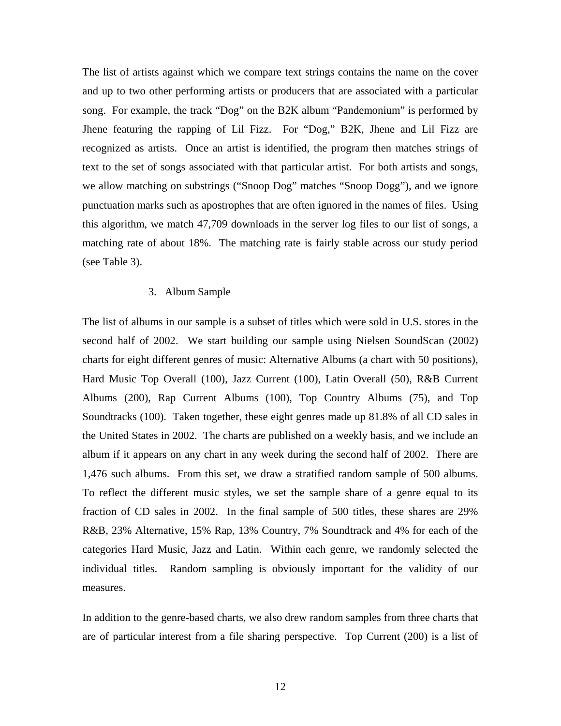The list of artists against which we compare text strings contains the name on the cover and up to two other performing artists or producers that are associated with a particular song. For example, the track "Dog" on the B2K album "Pandemonium" is performed by Jhene featuring the rapping of Lil Fizz. For "Dog," B2K, Jhene and Lil Fizz are recognized as artists. Once an artist is identified, the program then matches strings of text to the set of songs associated with that particular artist. For both artists and songs, we allow matching on substrings ("Snoop Dog" matches "Snoop Dogg"), and we ignore punctuation marks such as apostrophes that are often ignored in the names of files. Using this algorithm, we match 47,709 downloads in the server log files to our list of songs, a matching rate of about 18%. The matching rate is fairly stable across our study period (see Table 3).

#### 3. Album Sample

The list of albums in our sample is a subset of titles which were sold in U.S. stores in the second half of 2002. We start building our sample using Nielsen SoundScan (2002) charts for eight different genres of music: Alternative Albums (a chart with 50 positions), Hard Music Top Overall (100), Jazz Current (100), Latin Overall (50), R&B Current Albums (200), Rap Current Albums (100), Top Country Albums (75), and Top Soundtracks (100). Taken together, these eight genres made up 81.8% of all CD sales in the United States in 2002. The charts are published on a weekly basis, and we include an album if it appears on any chart in any week during the second half of 2002. There are 1,476 such albums. From this set, we draw a stratified random sample of 500 albums. To reflect the different music styles, we set the sample share of a genre equal to its fraction of CD sales in 2002. In the final sample of 500 titles, these shares are 29% R&B, 23% Alternative, 15% Rap, 13% Country, 7% Soundtrack and 4% for each of the categories Hard Music, Jazz and Latin. Within each genre, we randomly selected the individual titles. Random sampling is obviously important for the validity of our measures.

In addition to the genre-based charts, we also drew random samples from three charts that are of particular interest from a file sharing perspective. Top Current (200) is a list of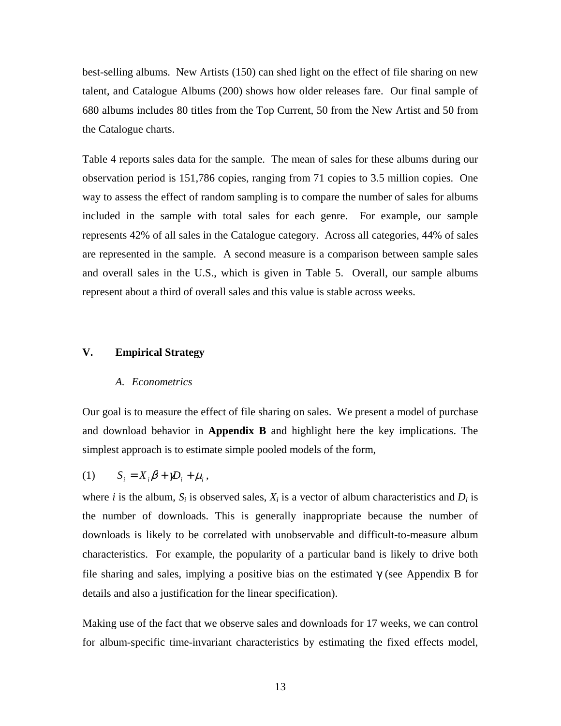best-selling albums. New Artists (150) can shed light on the effect of file sharing on new talent, and Catalogue Albums (200) shows how older releases fare. Our final sample of 680 albums includes 80 titles from the Top Current, 50 from the New Artist and 50 from the Catalogue charts.

Table 4 reports sales data for the sample. The mean of sales for these albums during our observation period is 151,786 copies, ranging from 71 copies to 3.5 million copies. One way to assess the effect of random sampling is to compare the number of sales for albums included in the sample with total sales for each genre. For example, our sample represents 42% of all sales in the Catalogue category. Across all categories, 44% of sales are represented in the sample. A second measure is a comparison between sample sales and overall sales in the U.S., which is given in Table 5. Overall, our sample albums represent about a third of overall sales and this value is stable across weeks.

#### **V. Empirical Strategy**

#### *A. Econometrics*

Our goal is to measure the effect of file sharing on sales. We present a model of purchase and download behavior in **Appendix B** and highlight here the key implications. The simplest approach is to estimate simple pooled models of the form,

$$
(1) \tS_i = X_i \beta + \gamma D_i + \mu_i,
$$

where *i* is the album,  $S_i$  is observed sales,  $X_i$  is a vector of album characteristics and  $D_i$  is the number of downloads. This is generally inappropriate because the number of downloads is likely to be correlated with unobservable and difficult-to-measure album characteristics. For example, the popularity of a particular band is likely to drive both file sharing and sales, implying a positive bias on the estimated  $\gamma$  (see Appendix B for details and also a justification for the linear specification).

Making use of the fact that we observe sales and downloads for 17 weeks, we can control for album-specific time-invariant characteristics by estimating the fixed effects model,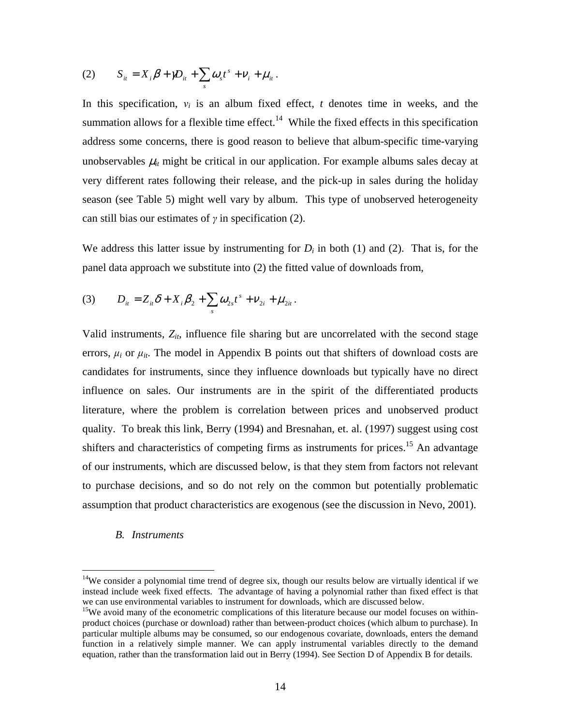(2) 
$$
S_{it} = X_i \beta + \gamma D_{it} + \sum_s \omega_s t^s + V_i + \mu_{it}.
$$

In this specification,  $v_i$  is an album fixed effect,  $t$  denotes time in weeks, and the summation allows for a flexible time effect.<sup>14</sup> While the fixed effects in this specification address some concerns, there is good reason to believe that album-specific time-varying unobservables  $\mu_{it}$  might be critical in our application. For example albums sales decay at very different rates following their release, and the pick-up in sales during the holiday season (see Table 5) might well vary by album. This type of unobserved heterogeneity can still bias our estimates of  $\gamma$  in specification (2).

We address this latter issue by instrumenting for  $D_i$  in both (1) and (2). That is, for the panel data approach we substitute into (2) the fitted value of downloads from,

(3) 
$$
D_{ii} = Z_{ii}\delta + X_i\beta_2 + \sum_s \omega_{2s}t^s + \nu_{2i} + \mu_{2it}.
$$

Valid instruments,  $Z_{it}$ , influence file sharing but are uncorrelated with the second stage errors,  $\mu_i$  or  $\mu_{it}$ . The model in Appendix B points out that shifters of download costs are candidates for instruments, since they influence downloads but typically have no direct influence on sales. Our instruments are in the spirit of the differentiated products literature, where the problem is correlation between prices and unobserved product quality. To break this link, Berry (1994) and Bresnahan, et. al. (1997) suggest using cost shifters and characteristics of competing firms as instruments for prices.<sup>15</sup> An advantage of our instruments, which are discussed below, is that they stem from factors not relevant to purchase decisions, and so do not rely on the common but potentially problematic assumption that product characteristics are exogenous (see the discussion in Nevo, 2001).

#### *B. Instruments*

-

 $14$ We consider a polynomial time trend of degree six, though our results below are virtually identical if we instead include week fixed effects. The advantage of having a polynomial rather than fixed effect is that we can use environmental variables to instrument for downloads, which are discussed below.

<sup>&</sup>lt;sup>15</sup>We avoid many of the econometric complications of this literature because our model focuses on withinproduct choices (purchase or download) rather than between-product choices (which album to purchase). In particular multiple albums may be consumed, so our endogenous covariate, downloads, enters the demand function in a relatively simple manner. We can apply instrumental variables directly to the demand equation, rather than the transformation laid out in Berry (1994). See Section D of Appendix B for details.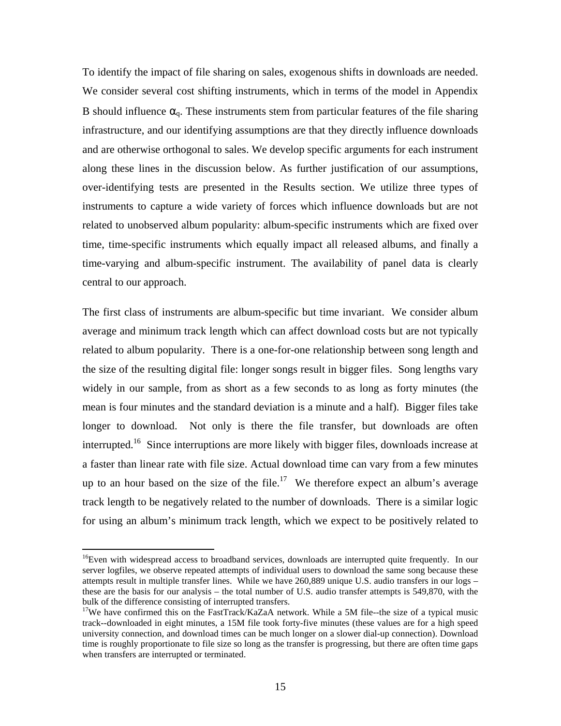To identify the impact of file sharing on sales, exogenous shifts in downloads are needed. We consider several cost shifting instruments, which in terms of the model in Appendix B should influence  $\alpha_0$ . These instruments stem from particular features of the file sharing infrastructure, and our identifying assumptions are that they directly influence downloads and are otherwise orthogonal to sales. We develop specific arguments for each instrument along these lines in the discussion below. As further justification of our assumptions, over-identifying tests are presented in the Results section. We utilize three types of instruments to capture a wide variety of forces which influence downloads but are not related to unobserved album popularity: album-specific instruments which are fixed over time, time-specific instruments which equally impact all released albums, and finally a time-varying and album-specific instrument. The availability of panel data is clearly central to our approach.

The first class of instruments are album-specific but time invariant. We consider album average and minimum track length which can affect download costs but are not typically related to album popularity. There is a one-for-one relationship between song length and the size of the resulting digital file: longer songs result in bigger files. Song lengths vary widely in our sample, from as short as a few seconds to as long as forty minutes (the mean is four minutes and the standard deviation is a minute and a half). Bigger files take longer to download. Not only is there the file transfer, but downloads are often interrupted.<sup>16</sup> Since interruptions are more likely with bigger files, downloads increase at a faster than linear rate with file size. Actual download time can vary from a few minutes up to an hour based on the size of the file.<sup>17</sup> We therefore expect an album's average track length to be negatively related to the number of downloads. There is a similar logic for using an album's minimum track length, which we expect to be positively related to

<sup>&</sup>lt;sup>16</sup>Even with widespread access to broadband services, downloads are interrupted quite frequently. In our server logfiles, we observe repeated attempts of individual users to download the same song because these attempts result in multiple transfer lines. While we have 260,889 unique U.S. audio transfers in our logs – these are the basis for our analysis – the total number of U.S. audio transfer attempts is 549,870, with the bulk of the difference consisting of interrupted transfers.

<sup>&</sup>lt;sup>17</sup>We have confirmed this on the FastTrack/KaZaA network. While a 5M file--the size of a typical music track--downloaded in eight minutes, a 15M file took forty-five minutes (these values are for a high speed university connection, and download times can be much longer on a slower dial-up connection). Download time is roughly proportionate to file size so long as the transfer is progressing, but there are often time gaps when transfers are interrupted or terminated.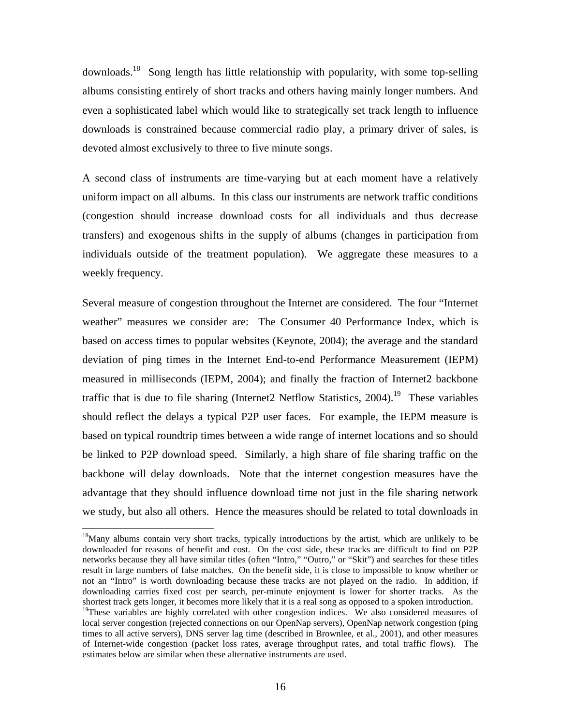downloads.<sup>18</sup> Song length has little relationship with popularity, with some top-selling albums consisting entirely of short tracks and others having mainly longer numbers. And even a sophisticated label which would like to strategically set track length to influence downloads is constrained because commercial radio play, a primary driver of sales, is devoted almost exclusively to three to five minute songs.

A second class of instruments are time-varying but at each moment have a relatively uniform impact on all albums. In this class our instruments are network traffic conditions (congestion should increase download costs for all individuals and thus decrease transfers) and exogenous shifts in the supply of albums (changes in participation from individuals outside of the treatment population). We aggregate these measures to a weekly frequency.

Several measure of congestion throughout the Internet are considered. The four "Internet weather" measures we consider are: The Consumer 40 Performance Index, which is based on access times to popular websites (Keynote, 2004); the average and the standard deviation of ping times in the Internet End-to-end Performance Measurement (IEPM) measured in milliseconds (IEPM, 2004); and finally the fraction of Internet2 backbone traffic that is due to file sharing (Internet2 Netflow Statistics,  $2004$ ).<sup>19</sup> These variables should reflect the delays a typical P2P user faces. For example, the IEPM measure is based on typical roundtrip times between a wide range of internet locations and so should be linked to P2P download speed. Similarly, a high share of file sharing traffic on the backbone will delay downloads. Note that the internet congestion measures have the advantage that they should influence download time not just in the file sharing network we study, but also all others. Hence the measures should be related to total downloads in

<sup>&</sup>lt;sup>18</sup>Many albums contain very short tracks, typically introductions by the artist, which are unlikely to be downloaded for reasons of benefit and cost. On the cost side, these tracks are difficult to find on P2P networks because they all have similar titles (often "Intro," "Outro," or "Skit") and searches for these titles result in large numbers of false matches. On the benefit side, it is close to impossible to know whether or not an "Intro" is worth downloading because these tracks are not played on the radio. In addition, if downloading carries fixed cost per search, per-minute enjoyment is lower for shorter tracks. As the shortest track gets longer, it becomes more likely that it is a real song as opposed to a spoken introduction. <sup>19</sup>These variables are highly correlated with other congestion indices. We also considered measures of local server congestion (rejected connections on our OpenNap servers), OpenNap network congestion (ping times to all active servers), DNS server lag time (described in Brownlee, et al., 2001), and other measures of Internet-wide congestion (packet loss rates, average throughput rates, and total traffic flows). The estimates below are similar when these alternative instruments are used.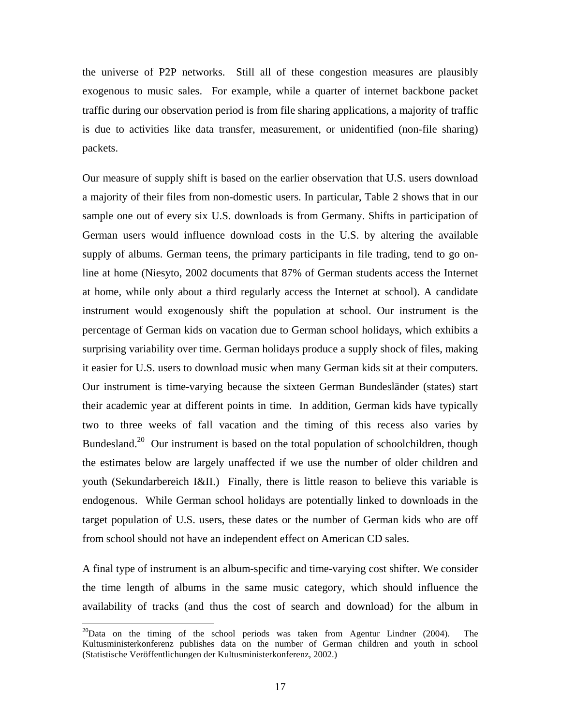the universe of P2P networks. Still all of these congestion measures are plausibly exogenous to music sales. For example, while a quarter of internet backbone packet traffic during our observation period is from file sharing applications, a majority of traffic is due to activities like data transfer, measurement, or unidentified (non-file sharing) packets.

Our measure of supply shift is based on the earlier observation that U.S. users download a majority of their files from non-domestic users. In particular, Table 2 shows that in our sample one out of every six U.S. downloads is from Germany. Shifts in participation of German users would influence download costs in the U.S. by altering the available supply of albums. German teens, the primary participants in file trading, tend to go online at home (Niesyto, 2002 documents that 87% of German students access the Internet at home, while only about a third regularly access the Internet at school). A candidate instrument would exogenously shift the population at school. Our instrument is the percentage of German kids on vacation due to German school holidays, which exhibits a surprising variability over time. German holidays produce a supply shock of files, making it easier for U.S. users to download music when many German kids sit at their computers. Our instrument is time-varying because the sixteen German Bundesländer (states) start their academic year at different points in time. In addition, German kids have typically two to three weeks of fall vacation and the timing of this recess also varies by Bundesland.<sup>20</sup> Our instrument is based on the total population of schoolchildren, though the estimates below are largely unaffected if we use the number of older children and youth (Sekundarbereich I&II.) Finally, there is little reason to believe this variable is endogenous. While German school holidays are potentially linked to downloads in the target population of U.S. users, these dates or the number of German kids who are off from school should not have an independent effect on American CD sales.

A final type of instrument is an album-specific and time-varying cost shifter. We consider the time length of albums in the same music category, which should influence the availability of tracks (and thus the cost of search and download) for the album in

 $^{20}$ Data on the timing of the school periods was taken from Agentur Lindner (2004). The Kultusministerkonferenz publishes data on the number of German children and youth in school (Statistische Veröffentlichungen der Kultusministerkonferenz, 2002.)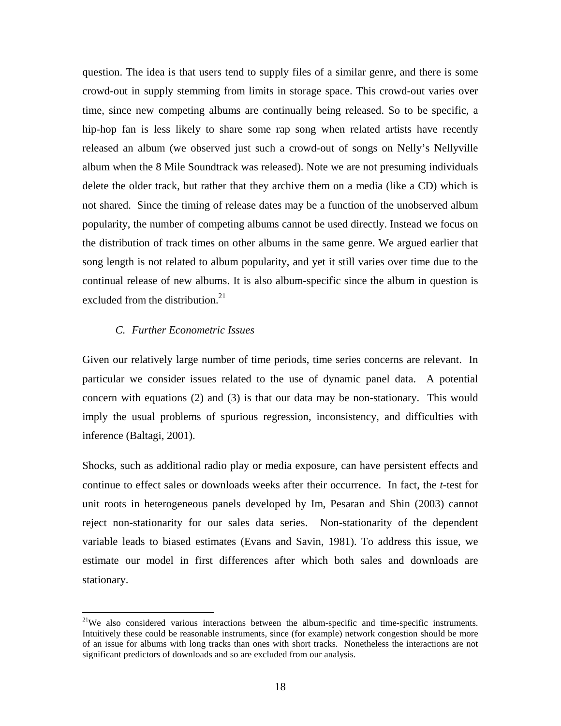question. The idea is that users tend to supply files of a similar genre, and there is some crowd-out in supply stemming from limits in storage space. This crowd-out varies over time, since new competing albums are continually being released. So to be specific, a hip-hop fan is less likely to share some rap song when related artists have recently released an album (we observed just such a crowd-out of songs on Nelly's Nellyville album when the 8 Mile Soundtrack was released). Note we are not presuming individuals delete the older track, but rather that they archive them on a media (like a CD) which is not shared. Since the timing of release dates may be a function of the unobserved album popularity, the number of competing albums cannot be used directly. Instead we focus on the distribution of track times on other albums in the same genre. We argued earlier that song length is not related to album popularity, and yet it still varies over time due to the continual release of new albums. It is also album-specific since the album in question is excluded from the distribution. $21$ 

#### *C. Further Econometric Issues*

<u>.</u>

Given our relatively large number of time periods, time series concerns are relevant. In particular we consider issues related to the use of dynamic panel data. A potential concern with equations (2) and (3) is that our data may be non-stationary. This would imply the usual problems of spurious regression, inconsistency, and difficulties with inference (Baltagi, 2001).

Shocks, such as additional radio play or media exposure, can have persistent effects and continue to effect sales or downloads weeks after their occurrence. In fact, the *t*-test for unit roots in heterogeneous panels developed by Im, Pesaran and Shin (2003) cannot reject non-stationarity for our sales data series. Non-stationarity of the dependent variable leads to biased estimates (Evans and Savin, 1981). To address this issue, we estimate our model in first differences after which both sales and downloads are stationary.

 $2^{1}$ We also considered various interactions between the album-specific and time-specific instruments. Intuitively these could be reasonable instruments, since (for example) network congestion should be more of an issue for albums with long tracks than ones with short tracks. Nonetheless the interactions are not significant predictors of downloads and so are excluded from our analysis.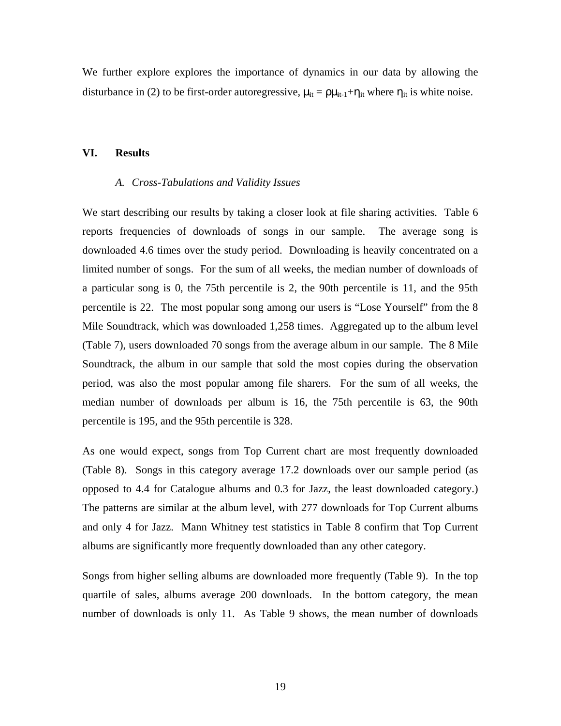We further explore explores the importance of dynamics in our data by allowing the disturbance in (2) to be first-order autoregressive,  $\mu_{it} = \rho \mu_{it-1} + \eta_{it}$  where  $\eta_{it}$  is white noise.

#### **VI. Results**

#### *A. Cross-Tabulations and Validity Issues*

We start describing our results by taking a closer look at file sharing activities. Table 6 reports frequencies of downloads of songs in our sample. The average song is downloaded 4.6 times over the study period. Downloading is heavily concentrated on a limited number of songs. For the sum of all weeks, the median number of downloads of a particular song is 0, the 75th percentile is 2, the 90th percentile is 11, and the 95th percentile is 22. The most popular song among our users is "Lose Yourself" from the 8 Mile Soundtrack, which was downloaded 1,258 times. Aggregated up to the album level (Table 7), users downloaded 70 songs from the average album in our sample. The 8 Mile Soundtrack, the album in our sample that sold the most copies during the observation period, was also the most popular among file sharers. For the sum of all weeks, the median number of downloads per album is 16, the 75th percentile is 63, the 90th percentile is 195, and the 95th percentile is 328.

As one would expect, songs from Top Current chart are most frequently downloaded (Table 8). Songs in this category average 17.2 downloads over our sample period (as opposed to 4.4 for Catalogue albums and 0.3 for Jazz, the least downloaded category.) The patterns are similar at the album level, with 277 downloads for Top Current albums and only 4 for Jazz. Mann Whitney test statistics in Table 8 confirm that Top Current albums are significantly more frequently downloaded than any other category.

Songs from higher selling albums are downloaded more frequently (Table 9). In the top quartile of sales, albums average 200 downloads. In the bottom category, the mean number of downloads is only 11. As Table 9 shows, the mean number of downloads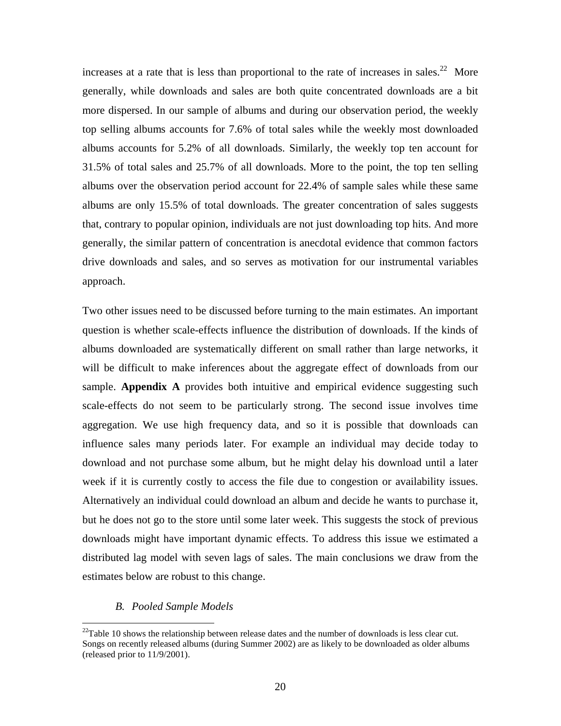increases at a rate that is less than proportional to the rate of increases in sales.<sup>22</sup> More generally, while downloads and sales are both quite concentrated downloads are a bit more dispersed. In our sample of albums and during our observation period, the weekly top selling albums accounts for 7.6% of total sales while the weekly most downloaded albums accounts for 5.2% of all downloads. Similarly, the weekly top ten account for 31.5% of total sales and 25.7% of all downloads. More to the point, the top ten selling albums over the observation period account for 22.4% of sample sales while these same albums are only 15.5% of total downloads. The greater concentration of sales suggests that, contrary to popular opinion, individuals are not just downloading top hits. And more generally, the similar pattern of concentration is anecdotal evidence that common factors drive downloads and sales, and so serves as motivation for our instrumental variables approach.

Two other issues need to be discussed before turning to the main estimates. An important question is whether scale-effects influence the distribution of downloads. If the kinds of albums downloaded are systematically different on small rather than large networks, it will be difficult to make inferences about the aggregate effect of downloads from our sample. **Appendix A** provides both intuitive and empirical evidence suggesting such scale-effects do not seem to be particularly strong. The second issue involves time aggregation. We use high frequency data, and so it is possible that downloads can influence sales many periods later. For example an individual may decide today to download and not purchase some album, but he might delay his download until a later week if it is currently costly to access the file due to congestion or availability issues. Alternatively an individual could download an album and decide he wants to purchase it, but he does not go to the store until some later week. This suggests the stock of previous downloads might have important dynamic effects. To address this issue we estimated a distributed lag model with seven lags of sales. The main conclusions we draw from the estimates below are robust to this change.

#### *B. Pooled Sample Models*

 $22$ Table 10 shows the relationship between release dates and the number of downloads is less clear cut. Songs on recently released albums (during Summer 2002) are as likely to be downloaded as older albums (released prior to 11/9/2001).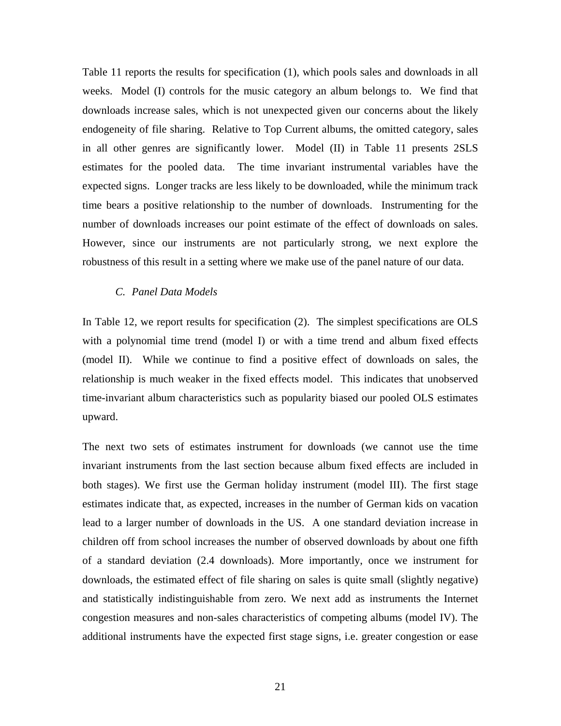Table 11 reports the results for specification (1), which pools sales and downloads in all weeks. Model (I) controls for the music category an album belongs to. We find that downloads increase sales, which is not unexpected given our concerns about the likely endogeneity of file sharing. Relative to Top Current albums, the omitted category, sales in all other genres are significantly lower. Model (II) in Table 11 presents 2SLS estimates for the pooled data. The time invariant instrumental variables have the expected signs. Longer tracks are less likely to be downloaded, while the minimum track time bears a positive relationship to the number of downloads. Instrumenting for the number of downloads increases our point estimate of the effect of downloads on sales. However, since our instruments are not particularly strong, we next explore the robustness of this result in a setting where we make use of the panel nature of our data.

#### *C. Panel Data Models*

In Table 12, we report results for specification (2). The simplest specifications are OLS with a polynomial time trend (model I) or with a time trend and album fixed effects (model II). While we continue to find a positive effect of downloads on sales, the relationship is much weaker in the fixed effects model. This indicates that unobserved time-invariant album characteristics such as popularity biased our pooled OLS estimates upward.

The next two sets of estimates instrument for downloads (we cannot use the time invariant instruments from the last section because album fixed effects are included in both stages). We first use the German holiday instrument (model III). The first stage estimates indicate that, as expected, increases in the number of German kids on vacation lead to a larger number of downloads in the US. A one standard deviation increase in children off from school increases the number of observed downloads by about one fifth of a standard deviation (2.4 downloads). More importantly, once we instrument for downloads, the estimated effect of file sharing on sales is quite small (slightly negative) and statistically indistinguishable from zero. We next add as instruments the Internet congestion measures and non-sales characteristics of competing albums (model IV). The additional instruments have the expected first stage signs, i.e. greater congestion or ease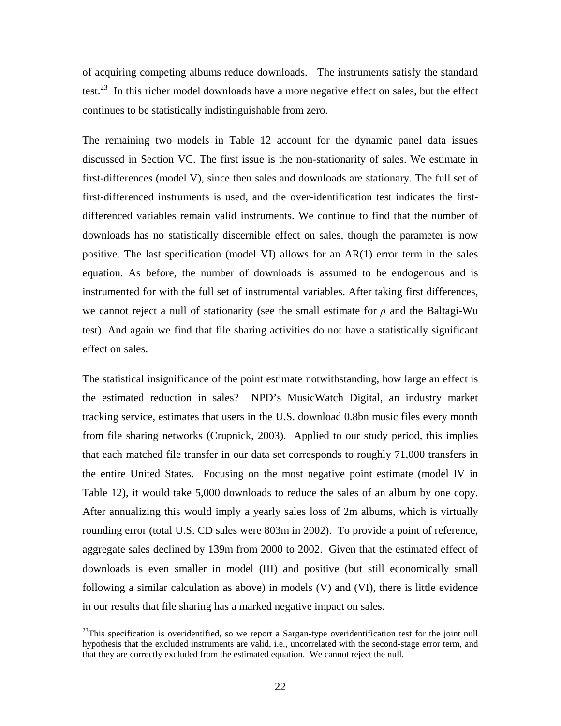of acquiring competing albums reduce downloads. The instruments satisfy the standard test.<sup>23</sup> In this richer model downloads have a more negative effect on sales, but the effect continues to be statistically indistinguishable from zero.

The remaining two models in Table 12 account for the dynamic panel data issues discussed in Section VC. The first issue is the non-stationarity of sales. We estimate in first-differences (model V), since then sales and downloads are stationary. The full set of first-differenced instruments is used, and the over-identification test indicates the firstdifferenced variables remain valid instruments. We continue to find that the number of downloads has no statistically discernible effect on sales, though the parameter is now positive. The last specification (model VI) allows for an AR(1) error term in the sales equation. As before, the number of downloads is assumed to be endogenous and is instrumented for with the full set of instrumental variables. After taking first differences, we cannot reject a null of stationarity (see the small estimate for  $\rho$  and the Baltagi-Wu test). And again we find that file sharing activities do not have a statistically significant effect on sales.

The statistical insignificance of the point estimate notwithstanding, how large an effect is the estimated reduction in sales? NPD's MusicWatch Digital, an industry market tracking service, estimates that users in the U.S. download 0.8bn music files every month from file sharing networks (Crupnick, 2003). Applied to our study period, this implies that each matched file transfer in our data set corresponds to roughly 71,000 transfers in the entire United States. Focusing on the most negative point estimate (model IV in Table 12), it would take 5,000 downloads to reduce the sales of an album by one copy. After annualizing this would imply a yearly sales loss of 2m albums, which is virtually rounding error (total U.S. CD sales were 803m in 2002). To provide a point of reference, aggregate sales declined by 139m from 2000 to 2002. Given that the estimated effect of downloads is even smaller in model (III) and positive (but still economically small following a similar calculation as above) in models (V) and (VI), there is little evidence in our results that file sharing has a marked negative impact on sales.

 $^{23}$ This specification is overidentified, so we report a Sargan-type overidentification test for the joint null hypothesis that the excluded instruments are valid, i.e., uncorrelated with the second-stage error term, and that they are correctly excluded from the estimated equation. We cannot reject the null.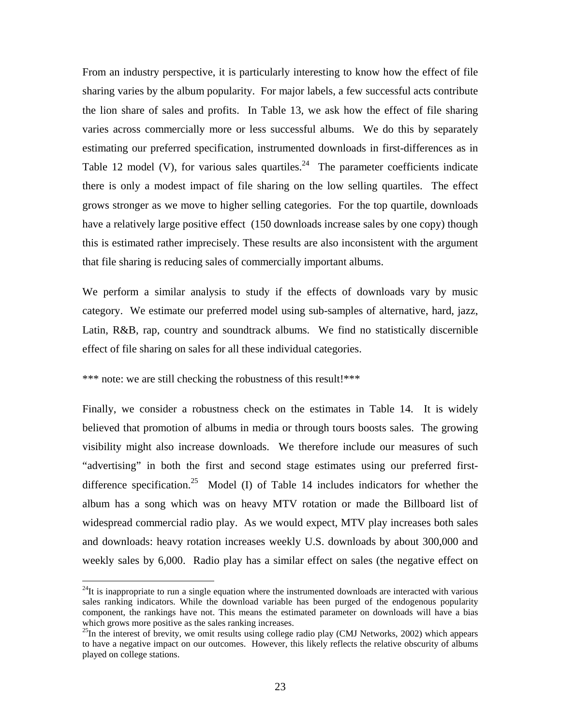From an industry perspective, it is particularly interesting to know how the effect of file sharing varies by the album popularity. For major labels, a few successful acts contribute the lion share of sales and profits. In Table 13, we ask how the effect of file sharing varies across commercially more or less successful albums. We do this by separately estimating our preferred specification, instrumented downloads in first-differences as in Table 12 model (V), for various sales quartiles.<sup>24</sup> The parameter coefficients indicate there is only a modest impact of file sharing on the low selling quartiles. The effect grows stronger as we move to higher selling categories. For the top quartile, downloads have a relatively large positive effect (150 downloads increase sales by one copy) though this is estimated rather imprecisely. These results are also inconsistent with the argument that file sharing is reducing sales of commercially important albums.

We perform a similar analysis to study if the effects of downloads vary by music category. We estimate our preferred model using sub-samples of alternative, hard, jazz, Latin, R&B, rap, country and soundtrack albums. We find no statistically discernible effect of file sharing on sales for all these individual categories.

\*\*\* note: we are still checking the robustness of this result!\*\*\*

<u>.</u>

Finally, we consider a robustness check on the estimates in Table 14. It is widely believed that promotion of albums in media or through tours boosts sales. The growing visibility might also increase downloads. We therefore include our measures of such "advertising" in both the first and second stage estimates using our preferred firstdifference specification.<sup>25</sup> Model (I) of Table 14 includes indicators for whether the album has a song which was on heavy MTV rotation or made the Billboard list of widespread commercial radio play. As we would expect, MTV play increases both sales and downloads: heavy rotation increases weekly U.S. downloads by about 300,000 and weekly sales by 6,000. Radio play has a similar effect on sales (the negative effect on

 $24$ It is inappropriate to run a single equation where the instrumented downloads are interacted with various sales ranking indicators. While the download variable has been purged of the endogenous popularity component, the rankings have not. This means the estimated parameter on downloads will have a bias which grows more positive as the sales ranking increases.<br><sup>25</sup>In the interest of brevity, we omit results using college radio play (CMJ Networks, 2002) which appears

to have a negative impact on our outcomes. However, this likely reflects the relative obscurity of albums played on college stations.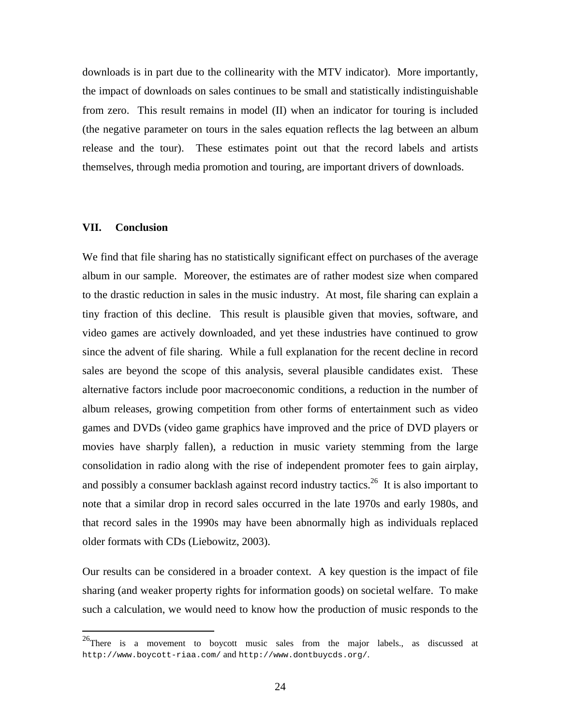downloads is in part due to the collinearity with the MTV indicator). More importantly, the impact of downloads on sales continues to be small and statistically indistinguishable from zero. This result remains in model (II) when an indicator for touring is included (the negative parameter on tours in the sales equation reflects the lag between an album release and the tour). These estimates point out that the record labels and artists themselves, through media promotion and touring, are important drivers of downloads.

#### **VII. Conclusion**

<u>.</u>

We find that file sharing has no statistically significant effect on purchases of the average album in our sample. Moreover, the estimates are of rather modest size when compared to the drastic reduction in sales in the music industry. At most, file sharing can explain a tiny fraction of this decline. This result is plausible given that movies, software, and video games are actively downloaded, and yet these industries have continued to grow since the advent of file sharing. While a full explanation for the recent decline in record sales are beyond the scope of this analysis, several plausible candidates exist. These alternative factors include poor macroeconomic conditions, a reduction in the number of album releases, growing competition from other forms of entertainment such as video games and DVDs (video game graphics have improved and the price of DVD players or movies have sharply fallen), a reduction in music variety stemming from the large consolidation in radio along with the rise of independent promoter fees to gain airplay, and possibly a consumer backlash against record industry tactics.<sup>26</sup> It is also important to note that a similar drop in record sales occurred in the late 1970s and early 1980s, and that record sales in the 1990s may have been abnormally high as individuals replaced older formats with CDs (Liebowitz, 2003).

Our results can be considered in a broader context. A key question is the impact of file sharing (and weaker property rights for information goods) on societal welfare. To make such a calculation, we would need to know how the production of music responds to the

 $^{26}$ There is a movement to boycott music sales from the major labels., as discussed at http://www.boycott-riaa.com/ and http://www.dontbuycds.org/.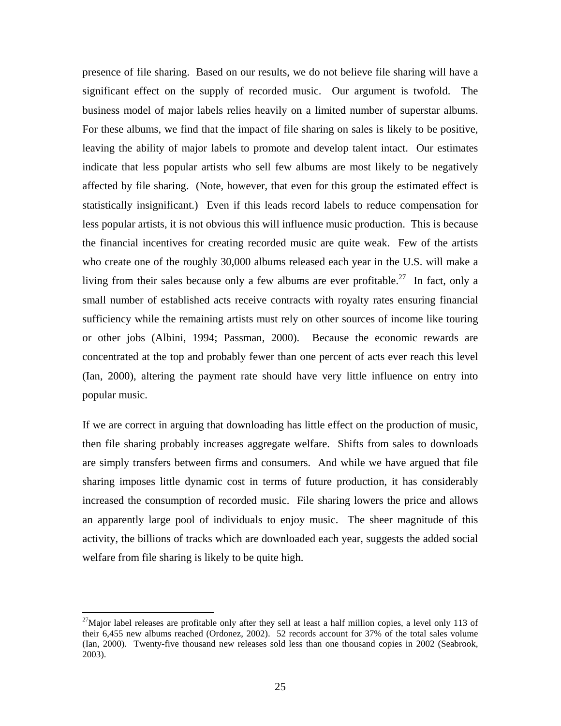presence of file sharing. Based on our results, we do not believe file sharing will have a significant effect on the supply of recorded music. Our argument is twofold. The business model of major labels relies heavily on a limited number of superstar albums. For these albums, we find that the impact of file sharing on sales is likely to be positive, leaving the ability of major labels to promote and develop talent intact. Our estimates indicate that less popular artists who sell few albums are most likely to be negatively affected by file sharing. (Note, however, that even for this group the estimated effect is statistically insignificant.) Even if this leads record labels to reduce compensation for less popular artists, it is not obvious this will influence music production. This is because the financial incentives for creating recorded music are quite weak. Few of the artists who create one of the roughly 30,000 albums released each year in the U.S. will make a living from their sales because only a few albums are ever profitable.<sup>27</sup> In fact, only a small number of established acts receive contracts with royalty rates ensuring financial sufficiency while the remaining artists must rely on other sources of income like touring or other jobs (Albini, 1994; Passman, 2000). Because the economic rewards are concentrated at the top and probably fewer than one percent of acts ever reach this level (Ian, 2000), altering the payment rate should have very little influence on entry into popular music.

If we are correct in arguing that downloading has little effect on the production of music, then file sharing probably increases aggregate welfare. Shifts from sales to downloads are simply transfers between firms and consumers. And while we have argued that file sharing imposes little dynamic cost in terms of future production, it has considerably increased the consumption of recorded music. File sharing lowers the price and allows an apparently large pool of individuals to enjoy music. The sheer magnitude of this activity, the billions of tracks which are downloaded each year, suggests the added social welfare from file sharing is likely to be quite high.

 $^{27}$ Major label releases are profitable only after they sell at least a half million copies, a level only 113 of their 6,455 new albums reached (Ordonez, 2002). 52 records account for 37% of the total sales volume (Ian, 2000). Twenty-five thousand new releases sold less than one thousand copies in 2002 (Seabrook, 2003).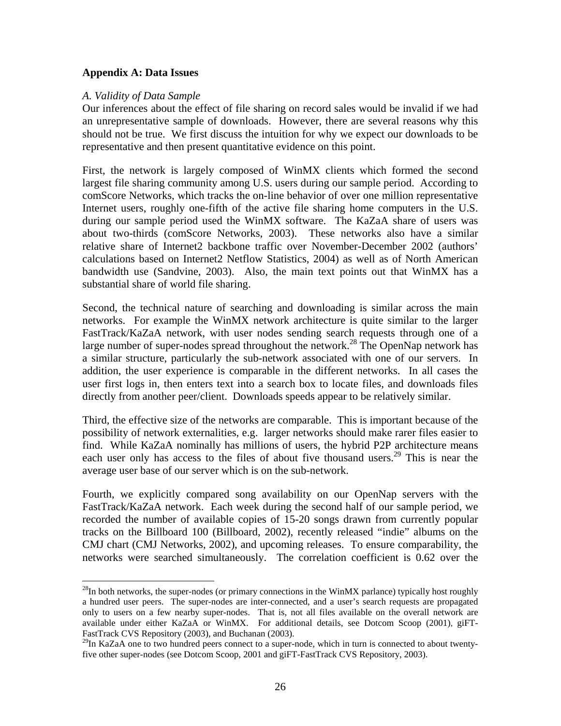#### **Appendix A: Data Issues**

#### *A. Validity of Data Sample*

<u>.</u>

Our inferences about the effect of file sharing on record sales would be invalid if we had an unrepresentative sample of downloads. However, there are several reasons why this should not be true. We first discuss the intuition for why we expect our downloads to be representative and then present quantitative evidence on this point.

First, the network is largely composed of WinMX clients which formed the second largest file sharing community among U.S. users during our sample period. According to comScore Networks, which tracks the on-line behavior of over one million representative Internet users, roughly one-fifth of the active file sharing home computers in the U.S. during our sample period used the WinMX software. The KaZaA share of users was about two-thirds (comScore Networks, 2003). These networks also have a similar relative share of Internet2 backbone traffic over November-December 2002 (authors' calculations based on Internet2 Netflow Statistics, 2004) as well as of North American bandwidth use (Sandvine, 2003). Also, the main text points out that WinMX has a substantial share of world file sharing.

Second, the technical nature of searching and downloading is similar across the main networks. For example the WinMX network architecture is quite similar to the larger FastTrack/KaZaA network, with user nodes sending search requests through one of a large number of super-nodes spread throughout the network.<sup>28</sup> The OpenNap network has a similar structure, particularly the sub-network associated with one of our servers. In addition, the user experience is comparable in the different networks. In all cases the user first logs in, then enters text into a search box to locate files, and downloads files directly from another peer/client. Downloads speeds appear to be relatively similar.

Third, the effective size of the networks are comparable. This is important because of the possibility of network externalities, e.g. larger networks should make rarer files easier to find. While KaZaA nominally has millions of users, the hybrid P2P architecture means each user only has access to the files of about five thousand users.<sup>29</sup> This is near the average user base of our server which is on the sub-network.

Fourth, we explicitly compared song availability on our OpenNap servers with the FastTrack/KaZaA network. Each week during the second half of our sample period, we recorded the number of available copies of 15-20 songs drawn from currently popular tracks on the Billboard 100 (Billboard, 2002), recently released "indie" albums on the CMJ chart (CMJ Networks, 2002), and upcoming releases. To ensure comparability, the networks were searched simultaneously. The correlation coefficient is 0.62 over the

 $28$ In both networks, the super-nodes (or primary connections in the WinMX parlance) typically host roughly a hundred user peers. The super-nodes are inter-connected, and a user's search requests are propagated only to users on a few nearby super-nodes. That is, not all files available on the overall network are available under either KaZaA or WinMX. For additional details, see Dotcom Scoop (2001), giFT-FastTrack CVS Repository (2003), and Buchanan (2003).

<sup>&</sup>lt;sup>29</sup>In KaZaA one to two hundred peers connect to a super-node, which in turn is connected to about twentyfive other super-nodes (see Dotcom Scoop, 2001 and giFT-FastTrack CVS Repository, 2003).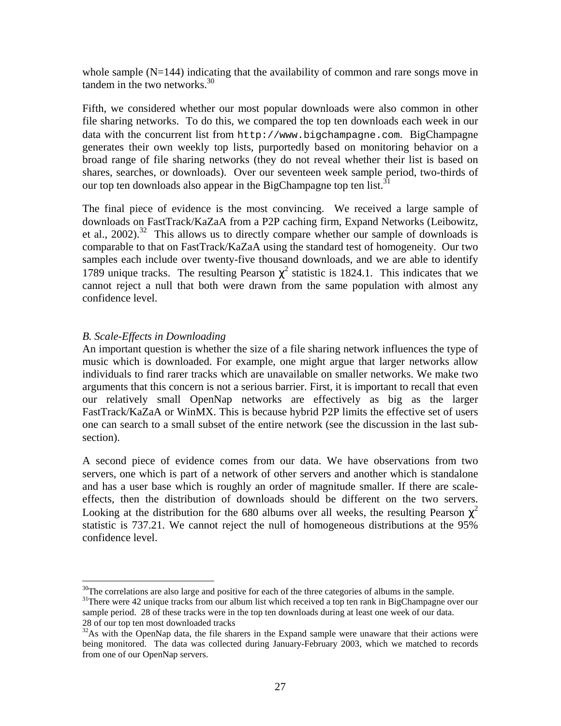whole sample  $(N=144)$  indicating that the availability of common and rare songs move in tandem in the two networks. $30<sup>30</sup>$ 

Fifth, we considered whether our most popular downloads were also common in other file sharing networks. To do this, we compared the top ten downloads each week in our data with the concurrent list from http://www.bigchampagne.com. BigChampagne generates their own weekly top lists, purportedly based on monitoring behavior on a broad range of file sharing networks (they do not reveal whether their list is based on shares, searches, or downloads). Over our seventeen week sample period, two-thirds of our top ten downloads also appear in the BigChampagne top ten list.<sup>31</sup>

The final piece of evidence is the most convincing. We received a large sample of downloads on FastTrack/KaZaA from a P2P caching firm, Expand Networks (Leibowitz, et al., 2002).<sup>32</sup> This allows us to directly compare whether our sample of downloads is comparable to that on FastTrack/KaZaA using the standard test of homogeneity. Our two samples each include over twenty-five thousand downloads, and we are able to identify 1789 unique tracks. The resulting Pearson  $\chi^2$  statistic is 1824.1. This indicates that we cannot reject a null that both were drawn from the same population with almost any confidence level.

### *B. Scale-Effects in Downloading*

<u>.</u>

An important question is whether the size of a file sharing network influences the type of music which is downloaded. For example, one might argue that larger networks allow individuals to find rarer tracks which are unavailable on smaller networks. We make two arguments that this concern is not a serious barrier. First, it is important to recall that even our relatively small OpenNap networks are effectively as big as the larger FastTrack/KaZaA or WinMX. This is because hybrid P2P limits the effective set of users one can search to a small subset of the entire network (see the discussion in the last subsection).

A second piece of evidence comes from our data. We have observations from two servers, one which is part of a network of other servers and another which is standalone and has a user base which is roughly an order of magnitude smaller. If there are scaleeffects, then the distribution of downloads should be different on the two servers. Looking at the distribution for the 680 albums over all weeks, the resulting Pearson  $\chi^2$ statistic is 737.21. We cannot reject the null of homogeneous distributions at the 95% confidence level.

 $30$ The correlations are also large and positive for each of the three categories of albums in the sample.

<sup>&</sup>lt;sup>31</sup>There were 42 unique tracks from our album list which received a top ten rank in BigChampagne over our sample period. 28 of these tracks were in the top ten downloads during at least one week of our data. 28 of our top ten most downloaded tracks

 $32$ As with the OpenNap data, the file sharers in the Expand sample were unaware that their actions were being monitored. The data was collected during January-February 2003, which we matched to records from one of our OpenNap servers.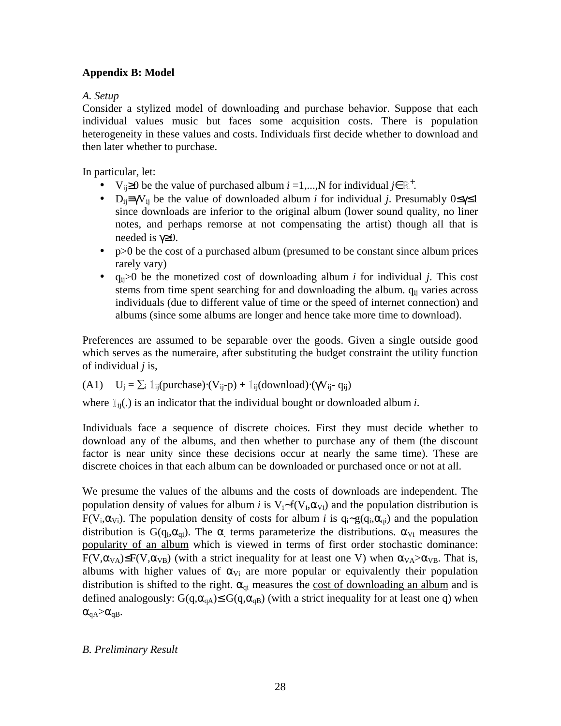## **Appendix B: Model**

## *A. Setup*

Consider a stylized model of downloading and purchase behavior. Suppose that each individual values music but faces some acquisition costs. There is population heterogeneity in these values and costs. Individuals first decide whether to download and then later whether to purchase.

In particular, let:

- V<sub>ij</sub>≥0 be the value of purchased album *i* =1,...,N for individual *j*∈  $\mathbb{R}^+$ .
- D<sub>ij</sub>≡γV<sub>ij</sub> be the value of downloaded album *i* for individual *j*. Presumably  $0 \le \gamma \le 1$ since downloads are inferior to the original album (lower sound quality, no liner notes, and perhaps remorse at not compensating the artist) though all that is needed is γ≥0.
- p>0 be the cost of a purchased album (presumed to be constant since album prices rarely vary)
- $q_{ii}$ >0 be the monetized cost of downloading album *i* for individual *j*. This cost stems from time spent searching for and downloading the album.  $q_{ii}$  varies across individuals (due to different value of time or the speed of internet connection) and albums (since some albums are longer and hence take more time to download).

Preferences are assumed to be separable over the goods. Given a single outside good which serves as the numeraire, after substituting the budget constraint the utility function of individual *j* is,

(A1) 
$$
U_j = \sum_i \mathbb{1}_{ij}(\text{purchase}) \cdot (V_{ij} - p) + \mathbb{1}_{ij}(\text{download}) \cdot (\gamma V_{ij} - q_{ij})
$$

where  $\mathbb{1}_{ii}$ .) is an indicator that the individual bought or downloaded album *i*.

Individuals face a sequence of discrete choices. First they must decide whether to download any of the albums, and then whether to purchase any of them (the discount factor is near unity since these decisions occur at nearly the same time). These are discrete choices in that each album can be downloaded or purchased once or not at all.

We presume the values of the albums and the costs of downloads are independent. The population density of values for album *i* is V<sub>i</sub>∼f(V<sub>i</sub>, $\alpha_{vi}$ ) and the population distribution is F(V<sub>i</sub>, $\alpha_{\rm{Vi}}$ ). The population density of costs for album *i* is  $q_i \sim g(q_i, \alpha_{qi})$  and the population distribution is G(q<sub>i</sub>, $\alpha_{\alpha i}$ ). The  $\alpha$  terms parameterize the distributions.  $\alpha_{\nu i}$  measures the popularity of an album which is viewed in terms of first order stochastic dominance:  $F(V, \alpha_{VA}) \leq F(V, \alpha_{VB})$  (with a strict inequality for at least one V) when  $\alpha_{VA} > \alpha_{VB}$ . That is, albums with higher values of  $\alpha_{Vi}$  are more popular or equivalently their population distribution is shifted to the right.  $\alpha_{qi}$  measures the cost of downloading an album and is defined analogously:  $G(q, \alpha_{qA}) \leq G(q, \alpha_{qB})$  (with a strict inequality for at least one q) when  $\alpha_{qA} > \alpha_{qB}$ .

## *B. Preliminary Result*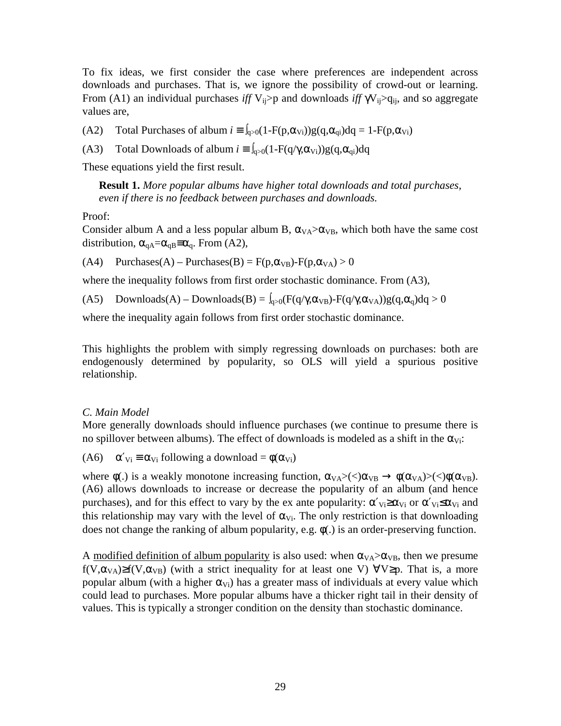To fix ideas, we first consider the case where preferences are independent across downloads and purchases. That is, we ignore the possibility of crowd-out or learning. From (A1) an individual purchases *iff*  $V_{ii}$ >p and downloads *iff*  $\gamma V_{ii}$ >q<sub>ii</sub>, and so aggregate values are,

(A2) Total Purchases of album  $i = \int_{q>0}^{q} (1-F(p,\alpha_{Vi}))g(q,\alpha_{qi})dq = 1-F(p,\alpha_{Vi})$ 

(A3) Total Downloads of album  $i = \int_{Q>0} (1 - F(q/\gamma, \alpha_{Vi})) g(q, \alpha_{qi}) dq$ 

These equations yield the first result.

**Result 1.** *More popular albums have higher total downloads and total purchases, even if there is no feedback between purchases and downloads.*

Proof:

Consider album A and a less popular album B,  $\alpha_{VA} > \alpha_{VB}$ , which both have the same cost distribution,  $\alpha_{qA} = \alpha_{qB} \equiv \alpha_q$ . From (A2),

(A4) Purchases(A) – Purchases(B) =  $F(p, \alpha_{VB})$ - $F(p, \alpha_{VA}) > 0$ 

where the inequality follows from first order stochastic dominance. From  $(A3)$ ,

(A5) Downloads(A) – Downloads(B) =  $\int_{a>0}$ (F(q/ $\gamma$ , $\alpha_{VB}$ )-F(q/ $\gamma$ , $\alpha_{VA}$ ))g(q, $\alpha_a$ )dq > 0

where the inequality again follows from first order stochastic dominance.

This highlights the problem with simply regressing downloads on purchases: both are endogenously determined by popularity, so OLS will yield a spurious positive relationship.

## *C. Main Model*

More generally downloads should influence purchases (we continue to presume there is no spillover between albums). The effect of downloads is modeled as a shift in the  $\alpha_{Vi}$ :

(A6)  $\alpha'_{\rm Vi} \equiv \alpha_{\rm Vi}$  following a download =  $\phi(\alpha_{\rm Vi})$ 

where  $\phi(.)$  is a weakly monotone increasing function,  $\alpha_{VA} \geq \langle \langle \alpha_{VB} \rangle \rightarrow \phi(\alpha_{VA}) \geq \langle \langle \phi(\alpha_{VB}) \rangle$ . (A6) allows downloads to increase or decrease the popularity of an album (and hence purchases), and for this effect to vary by the ex ante popularity:  $\alpha'_{Vi} \ge \alpha_{Vi}$  or  $\alpha'_{Vi} \le \alpha_{Vi}$  and this relationship may vary with the level of  $\alpha_{Vi}$ . The only restriction is that downloading does not change the ranking of album popularity, e.g. φ(.) is an order-preserving function.

A modified definition of album popularity is also used: when  $\alpha_{VA} > \alpha_{VB}$ , then we presume f(V, $\alpha_{VA}$ )≥f(V, $\alpha_{VB}$ ) (with a strict inequality for at least one V)  $\forall V \geq p$ . That is, a more popular album (with a higher  $\alpha_{V_i}$ ) has a greater mass of individuals at every value which could lead to purchases. More popular albums have a thicker right tail in their density of values. This is typically a stronger condition on the density than stochastic dominance.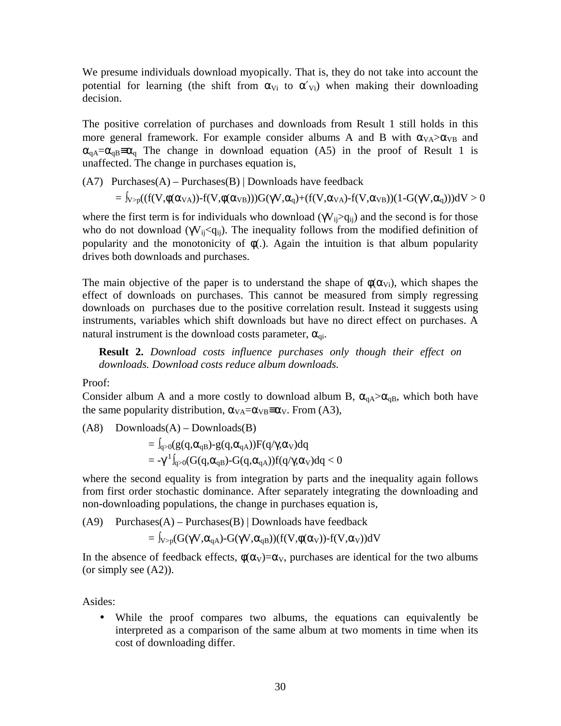We presume individuals download myopically. That is, they do not take into account the potential for learning (the shift from  $\alpha_{Vi}$  to  $\alpha'_{Vi}$ ) when making their downloading decision.

The positive correlation of purchases and downloads from Result 1 still holds in this more general framework. For example consider albums A and B with  $\alpha_{VA} > \alpha_{VB}$  and  $\alpha_{\text{qA}} = \alpha_{\text{qB}} = \alpha_{\text{q}}$  The change in download equation (A5) in the proof of Result 1 is unaffected. The change in purchases equation is,

 $(A7)$  Purchases $(A)$  – Purchases $(B)$  | Downloads have feedback

 $=\int_{V>p}((f(V,\phi(\alpha_{VA}))-f(V,\phi(\alpha_{VB})))G(\gamma V,\alpha_{q})+(f(V,\alpha_{VA})-f(V,\alpha_{VB}))(1-G(\gamma V,\alpha_{q})))dV>0$ 

where the first term is for individuals who download ( $\gamma V_{ii} > q_{ii}$ ) and the second is for those who do not download ( $\gamma V_{ij} < q_{ij}$ ). The inequality follows from the modified definition of popularity and the monotonicity of  $\phi$ . Again the intuition is that album popularity drives both downloads and purchases.

The main objective of the paper is to understand the shape of  $\phi(\alpha_{\rm Vi})$ , which shapes the effect of downloads on purchases. This cannot be measured from simply regressing downloads on purchases due to the positive correlation result. Instead it suggests using instruments, variables which shift downloads but have no direct effect on purchases. A natural instrument is the download costs parameter,  $\alpha_{qi}$ .

**Result 2.** *Download costs influence purchases only though their effect on downloads. Download costs reduce album downloads.*

Proof:

Consider album A and a more costly to download album B,  $\alpha_{qA} > \alpha_{qB}$ , which both have the same popularity distribution,  $\alpha_{VA} = \alpha_{VB} \equiv \alpha_V$ . From (A3),

 $(A8)$  Downloads $(A)$  – Downloads $(B)$ 

$$
= \int_{q>0} (g(q,\alpha_{qB})-g(q,\alpha_{qA}))F(q/\gamma,\alpha_V)dq
$$
  
= 
$$
-\gamma^1 \int_{q>0} (G(q,\alpha_{qB})-G(q,\alpha_{qA}))f(q/\gamma,\alpha_V)dq < 0
$$

where the second equality is from integration by parts and the inequality again follows from first order stochastic dominance. After separately integrating the downloading and non-downloading populations, the change in purchases equation is,

 $(A9)$  Purchases $(A)$  – Purchases $(B)$  | Downloads have feedback

$$
= \int_{V > p} (G(\gamma V, \alpha_{qA}) - G(\gamma V, \alpha_{qB})) (f(V, \phi(\alpha_V)) - f(V, \alpha_V)) dV
$$

In the absence of feedback effects,  $\phi(\alpha_V) = \alpha_V$ , purchases are identical for the two albums (or simply see (A2)).

Asides:

• While the proof compares two albums, the equations can equivalently be interpreted as a comparison of the same album at two moments in time when its cost of downloading differ.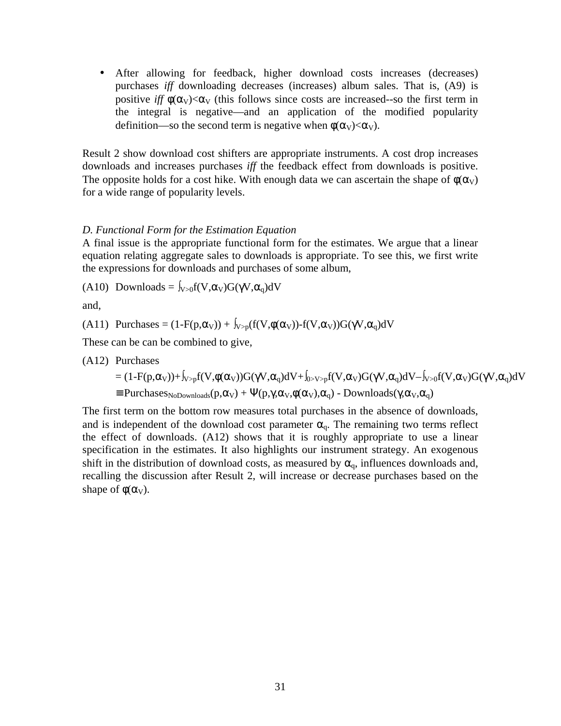• After allowing for feedback, higher download costs increases (decreases) purchases *iff* downloading decreases (increases) album sales. That is, (A9) is positive *iff*  $\phi(\alpha_V) < \alpha_V$  (this follows since costs are increased--so the first term in the integral is negative—and an application of the modified popularity definition—so the second term is negative when  $\phi(\alpha_V) < \alpha_V$ ).

Result 2 show download cost shifters are appropriate instruments. A cost drop increases downloads and increases purchases *iff* the feedback effect from downloads is positive. The opposite holds for a cost hike. With enough data we can ascertain the shape of  $\phi(\alpha_V)$ for a wide range of popularity levels.

#### *D. Functional Form for the Estimation Equation*

A final issue is the appropriate functional form for the estimates. We argue that a linear equation relating aggregate sales to downloads is appropriate. To see this, we first write the expressions for downloads and purchases of some album,

(A10) Downloads =  $\int_{V>0} f(V,\alpha_V)G(\gamma V,\alpha_q)dV$ 

and,

(A11) Purchases =  $(1-F(p,\alpha_V)) + \int_{V>p}(f(V,\phi(\alpha_V)) - f(V,\alpha_V))G(\gamma V,\alpha_q)dV$ 

These can be can be combined to give,

(A12) Purchases = (1-F(p,αV))+∫V>pf(V,φ(αV))G(γV,αq)dV+∫0>V>pf(V,αV)G(γV,αq)dV–∫V>0f(V,αV)G(γV,αq)dV ≡ PurchasesNoDownloads(p,αV) + Ψ(p,γ,αV,φ(αV),αq) - Downloads(γ,αV,αq)

The first term on the bottom row measures total purchases in the absence of downloads, and is independent of the download cost parameter  $\alpha_q$ . The remaining two terms reflect the effect of downloads. (A12) shows that it is roughly appropriate to use a linear specification in the estimates. It also highlights our instrument strategy. An exogenous shift in the distribution of download costs, as measured by  $\alpha_q$ , influences downloads and, recalling the discussion after Result 2, will increase or decrease purchases based on the shape of  $\phi(\alpha_V)$ .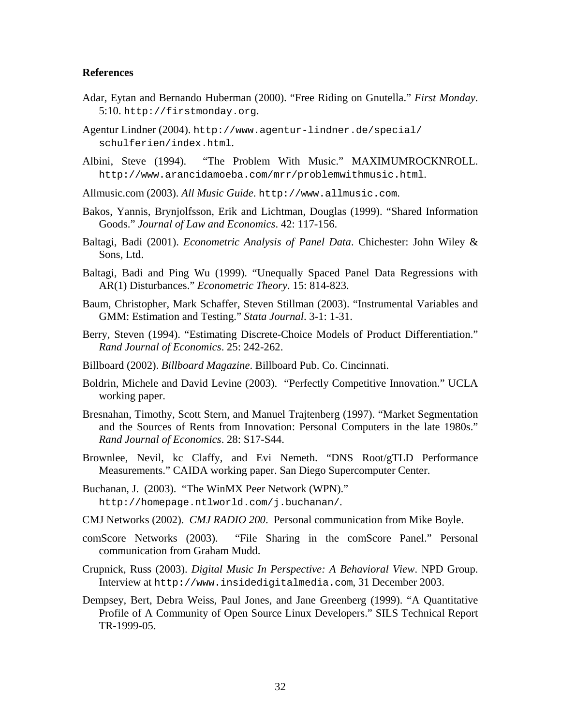#### **References**

- Adar, Eytan and Bernando Huberman (2000). "Free Riding on Gnutella." *First Monday*. 5:10. http://firstmonday.org.
- Agentur Lindner (2004). http://www.agentur-lindner.de/special/ schulferien/index.html.
- Albini, Steve (1994). "The Problem With Music." MAXIMUMROCKNROLL. http://www.arancidamoeba.com/mrr/problemwithmusic.html.
- Allmusic.com (2003). *All Music Guide*. http://www.allmusic.com.
- Bakos, Yannis, Brynjolfsson, Erik and Lichtman, Douglas (1999). "Shared Information Goods." *Journal of Law and Economics*. 42: 117-156.
- Baltagi, Badi (2001). *Econometric Analysis of Panel Data*. Chichester: John Wiley & Sons, Ltd.
- Baltagi, Badi and Ping Wu (1999). "Unequally Spaced Panel Data Regressions with AR(1) Disturbances." *Econometric Theory*. 15: 814-823.
- Baum, Christopher, Mark Schaffer, Steven Stillman (2003). "Instrumental Variables and GMM: Estimation and Testing." *Stata Journal*. 3-1: 1-31.
- Berry, Steven (1994). "Estimating Discrete-Choice Models of Product Differentiation." *Rand Journal of Economics*. 25: 242-262.
- Billboard (2002). *Billboard Magazine*. Billboard Pub. Co. Cincinnati.
- Boldrin, Michele and David Levine (2003). "Perfectly Competitive Innovation." UCLA working paper.
- Bresnahan, Timothy, Scott Stern, and Manuel Trajtenberg (1997). "Market Segmentation and the Sources of Rents from Innovation: Personal Computers in the late 1980s." *Rand Journal of Economics*. 28: S17-S44.
- Brownlee, Nevil, kc Claffy, and Evi Nemeth. "DNS Root/gTLD Performance Measurements." CAIDA working paper. San Diego Supercomputer Center.
- Buchanan, J. (2003). "The WinMX Peer Network (WPN)." http://homepage.ntlworld.com/j.buchanan/.
- CMJ Networks (2002). *CMJ RADIO 200*. Personal communication from Mike Boyle.
- comScore Networks (2003). "File Sharing in the comScore Panel." Personal communication from Graham Mudd.
- Crupnick, Russ (2003). *Digital Music In Perspective: A Behavioral View*. NPD Group. Interview at http://www.insidedigitalmedia.com, 31 December 2003.
- Dempsey, Bert, Debra Weiss, Paul Jones, and Jane Greenberg (1999). "A Quantitative Profile of A Community of Open Source Linux Developers." SILS Technical Report TR-1999-05.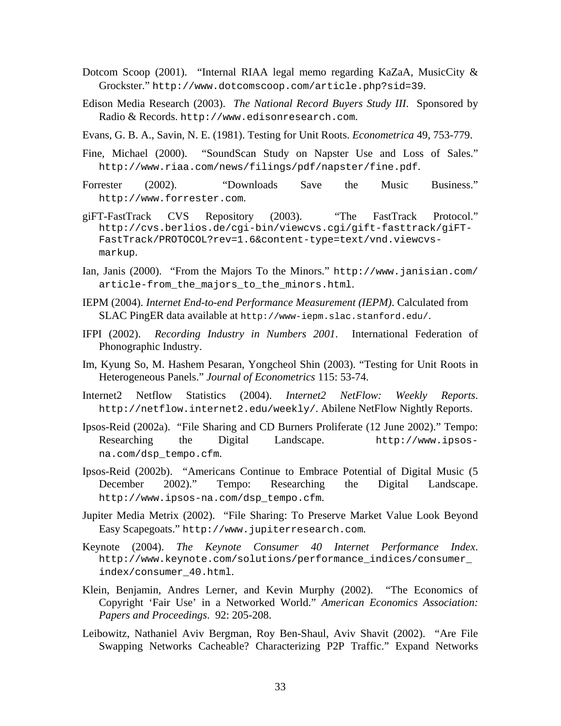- Dotcom Scoop (2001). "Internal RIAA legal memo regarding KaZaA, MusicCity & Grockster." http://www.dotcomscoop.com/article.php?sid=39.
- Edison Media Research (2003). *The National Record Buyers Study III*. Sponsored by Radio & Records. http://www.edisonresearch.com.
- Evans, G. B. A., Savin, N. E. (1981). Testing for Unit Roots. *Econometrica* 49, 753-779.
- Fine, Michael (2000). "SoundScan Study on Napster Use and Loss of Sales." http://www.riaa.com/news/filings/pdf/napster/fine.pdf.
- Forrester (2002). "Downloads Save the Music Business." http://www.forrester.com.
- giFT-FastTrack CVS Repository (2003). "The FastTrack Protocol." http://cvs.berlios.de/cgi-bin/viewcvs.cgi/gift-fasttrack/giFT-FastTrack/PROTOCOL?rev=1.6&content-type=text/vnd.viewcvsmarkup.
- Ian, Janis (2000). "From the Majors To the Minors." http://www.janisian.com/ article-from the majors to the minors.html.
- IEPM (2004). *Internet End-to-end Performance Measurement (IEPM)*. Calculated from SLAC PingER data available at http://www-iepm.slac.stanford.edu/.
- IFPI (2002). *Recording Industry in Numbers 2001*. International Federation of Phonographic Industry.
- Im, Kyung So, M. Hashem Pesaran, Yongcheol Shin (2003). "Testing for Unit Roots in Heterogeneous Panels." *Journal of Econometrics* 115: 53-74.
- Internet2 Netflow Statistics (2004). *Internet2 NetFlow: Weekly Reports*. http://netflow.internet2.edu/weekly/. Abilene NetFlow Nightly Reports.
- Ipsos-Reid (2002a). "File Sharing and CD Burners Proliferate (12 June 2002)." Tempo: Researching the Digital Landscape. http://www.ipsosna.com/dsp\_tempo.cfm.
- Ipsos-Reid (2002b). "Americans Continue to Embrace Potential of Digital Music (5 December 2002)." Tempo: Researching the Digital Landscape. http://www.ipsos-na.com/dsp\_tempo.cfm.
- Jupiter Media Metrix (2002). "File Sharing: To Preserve Market Value Look Beyond Easy Scapegoats." http://www.jupiterresearch.com.
- Keynote (2004). *The Keynote Consumer 40 Internet Performance Index*. http://www.keynote.com/solutions/performance\_indices/consumer\_ index/consumer\_40.html.
- Klein, Benjamin, Andres Lerner, and Kevin Murphy (2002). "The Economics of Copyright 'Fair Use' in a Networked World." *American Economics Association: Papers and Proceedings*. 92: 205-208.
- Leibowitz, Nathaniel Aviv Bergman, Roy Ben-Shaul, Aviv Shavit (2002). "Are File Swapping Networks Cacheable? Characterizing P2P Traffic." Expand Networks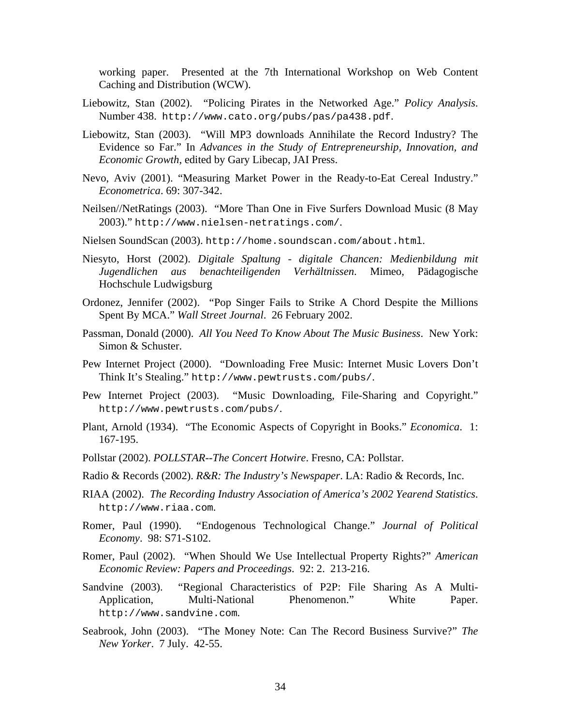working paper. Presented at the 7th International Workshop on Web Content Caching and Distribution (WCW).

- Liebowitz, Stan (2002). "Policing Pirates in the Networked Age." *Policy Analysis*. Number 438. http://www.cato.org/pubs/pas/pa438.pdf.
- Liebowitz, Stan (2003). "Will MP3 downloads Annihilate the Record Industry? The Evidence so Far." In *Advances in the Study of Entrepreneurship, Innovation, and Economic Growth*, edited by Gary Libecap, JAI Press.
- Nevo, Aviv (2001). "Measuring Market Power in the Ready-to-Eat Cereal Industry." *Econometrica*. 69: 307-342.
- Neilsen//NetRatings (2003). "More Than One in Five Surfers Download Music (8 May 2003)." http://www.nielsen-netratings.com/.
- Nielsen SoundScan (2003). http://home.soundscan.com/about.html.
- Niesyto, Horst (2002). *Digitale Spaltung digitale Chancen: Medienbildung mit Jugendlichen aus benachteiligenden Verhältnissen*. Mimeo, Pädagogische Hochschule Ludwigsburg
- Ordonez, Jennifer (2002). "Pop Singer Fails to Strike A Chord Despite the Millions Spent By MCA." *Wall Street Journal*. 26 February 2002.
- Passman, Donald (2000). *All You Need To Know About The Music Business*. New York: Simon & Schuster.
- Pew Internet Project (2000). "Downloading Free Music: Internet Music Lovers Don't Think It's Stealing." http://www.pewtrusts.com/pubs/.
- Pew Internet Project (2003). "Music Downloading, File-Sharing and Copyright." http://www.pewtrusts.com/pubs/.
- Plant, Arnold (1934). "The Economic Aspects of Copyright in Books." *Economica*. 1: 167-195.
- Pollstar (2002). *POLLSTAR--The Concert Hotwire*. Fresno, CA: Pollstar.
- Radio & Records (2002). *R&R: The Industry's Newspaper*. LA: Radio & Records, Inc.
- RIAA (2002). *The Recording Industry Association of America's 2002 Yearend Statistics*. http://www.riaa.com.
- Romer, Paul (1990). "Endogenous Technological Change." *Journal of Political Economy*. 98: S71-S102.
- Romer, Paul (2002). "When Should We Use Intellectual Property Rights?" *American Economic Review: Papers and Proceedings*. 92: 2. 213-216.
- Sandvine (2003). "Regional Characteristics of P2P: File Sharing As A Multi-Application, Multi-National Phenomenon." White Paper. http://www.sandvine.com.
- Seabrook, John (2003). "The Money Note: Can The Record Business Survive?" *The New Yorker*. 7 July. 42-55.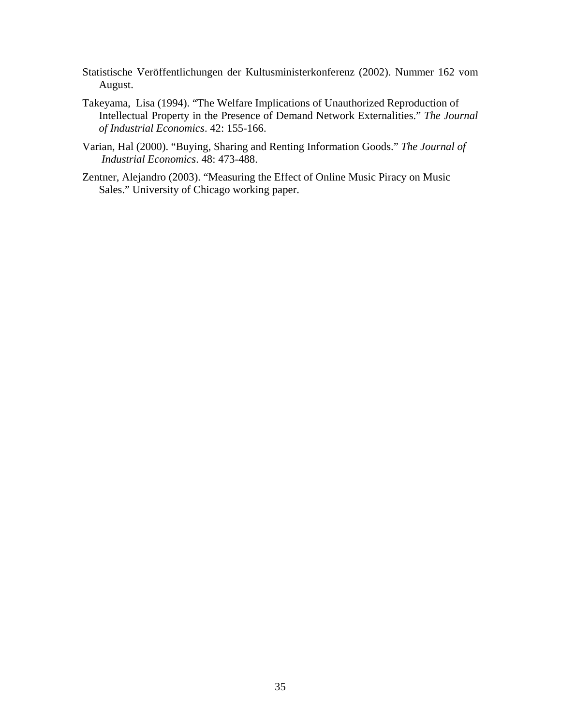- Statistische Veröffentlichungen der Kultusministerkonferenz (2002). Nummer 162 vom August.
- Takeyama, Lisa (1994). "The Welfare Implications of Unauthorized Reproduction of Intellectual Property in the Presence of Demand Network Externalities." *The Journal of Industrial Economics*. 42: 155-166.
- Varian, Hal (2000). "Buying, Sharing and Renting Information Goods." *The Journal of Industrial Economics*. 48: 473-488.
- Zentner, Alejandro (2003). "Measuring the Effect of Online Music Piracy on Music Sales." University of Chicago working paper.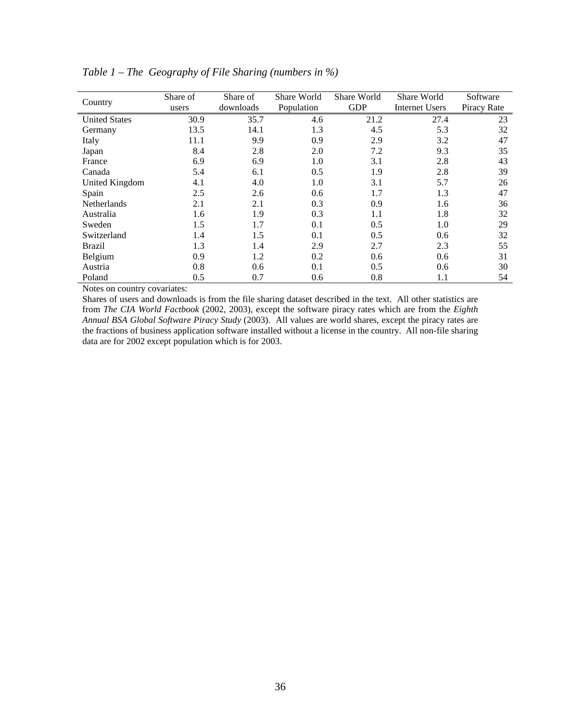| Country              | Share of<br>users | Share of<br>downloads | Share World<br>Population | Share World<br><b>GDP</b> | Share World<br><b>Internet Users</b> | Software<br>Piracy Rate |
|----------------------|-------------------|-----------------------|---------------------------|---------------------------|--------------------------------------|-------------------------|
| <b>United States</b> | 30.9              | 35.7                  | 4.6                       | 21.2                      | 27.4                                 | 23                      |
| Germany              | 13.5              | 14.1                  | 1.3                       | 4.5                       | 5.3                                  | 32                      |
| Italy                | 11.1              | 9.9                   | 0.9                       | 2.9                       | 3.2                                  | 47                      |
| Japan                | 8.4               | 2.8                   | 2.0                       | 7.2                       | 9.3                                  | 35                      |
| France               | 6.9               | 6.9                   | 1.0                       | 3.1                       | 2.8                                  | 43                      |
| Canada               | 5.4               | 6.1                   | 0.5                       | 1.9                       | 2.8                                  | 39                      |
| United Kingdom       | 4.1               | 4.0                   | 1.0                       | 3.1                       | 5.7                                  | 26                      |
| Spain                | 2.5               | 2.6                   | 0.6                       | 1.7                       | 1.3                                  | 47                      |
| <b>Netherlands</b>   | 2.1               | 2.1                   | 0.3                       | 0.9                       | 1.6                                  | 36                      |
| Australia            | 1.6               | 1.9                   | 0.3                       | 1.1                       | 1.8                                  | 32                      |
| Sweden               | 1.5               | 1.7                   | 0.1                       | 0.5                       | 1.0                                  | 29                      |
| Switzerland          | 1.4               | 1.5                   | 0.1                       | 0.5                       | 0.6                                  | 32                      |
| <b>Brazil</b>        | 1.3               | 1.4                   | 2.9                       | 2.7                       | 2.3                                  | 55                      |
| Belgium              | 0.9               | 1.2                   | 0.2                       | 0.6                       | 0.6                                  | 31                      |
| Austria              | 0.8               | 0.6                   | 0.1                       | 0.5                       | 0.6                                  | 30                      |
| Poland               | 0.5               | 0.7                   | 0.6                       | 0.8                       | 1.1                                  | 54                      |

*Table 1 – The Geography of File Sharing (numbers in %)*

Notes on country covariates:

Shares of users and downloads is from the file sharing dataset described in the text. All other statistics are from *The CIA World Factbook* (2002, 2003), except the software piracy rates which are from the *Eighth Annual BSA Global Software Piracy Study* (2003). All values are world shares, except the piracy rates are the fractions of business application software installed without a license in the country. All non-file sharing data are for 2002 except population which is for 2003.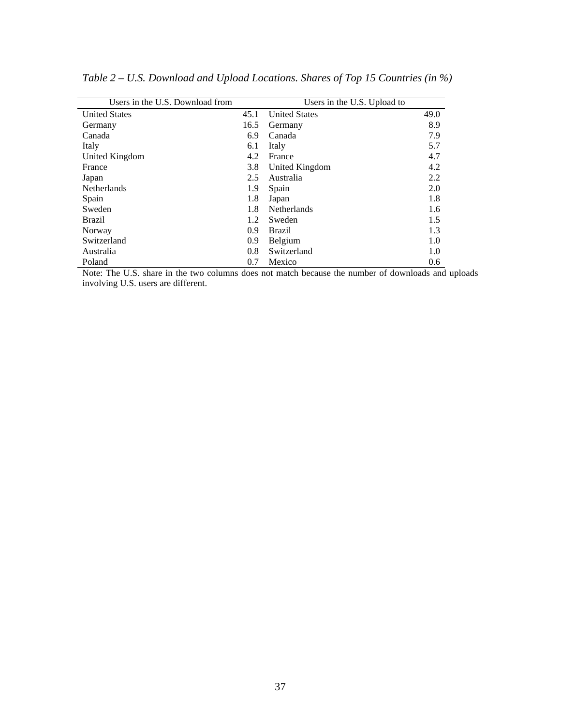| Users in the U.S. Download from |      | Users in the U.S. Upload to |      |
|---------------------------------|------|-----------------------------|------|
| <b>United States</b>            | 45.1 | <b>United States</b>        | 49.0 |
|                                 |      |                             |      |
| Germany                         | 16.5 | Germany                     | 8.9  |
| Canada                          | 6.9  | Canada                      | 7.9  |
| Italy                           | 6.1  | Italy                       | 5.7  |
| United Kingdom                  | 4.2  | France                      | 4.7  |
| France                          | 3.8  | United Kingdom              | 4.2  |
| Japan                           | 2.5  | Australia                   | 2.2  |
| Netherlands                     | 1.9  | Spain                       | 2.0  |
| Spain                           | 1.8  | Japan                       | 1.8  |
| Sweden                          | 1.8  | <b>Netherlands</b>          | 1.6  |
| <b>Brazil</b>                   | 1.2  | Sweden                      | 1.5  |
| Norway                          | 0.9  | <b>Brazil</b>               | 1.3  |
| Switzerland                     | 0.9  | Belgium                     | 1.0  |
| Australia                       | 0.8  | Switzerland                 | 1.0  |
| Poland                          | 0.7  | Mexico                      | 0.6  |

*Table 2 – U.S. Download and Upload Locations. Shares of Top 15 Countries (in %)* 

Note: The U.S. share in the two columns does not match because the number of downloads and uploads involving U.S. users are different.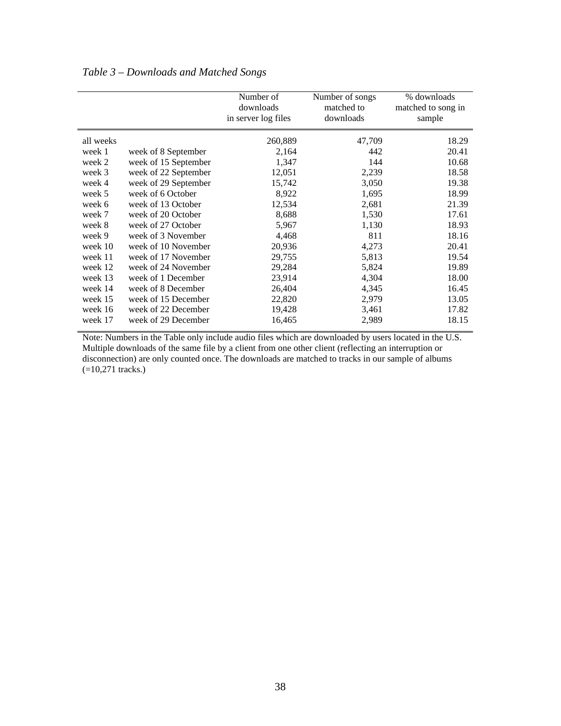|           |                      | Number of<br>downloads<br>in server log files | Number of songs<br>matched to<br>downloads | % downloads<br>matched to song in<br>sample |
|-----------|----------------------|-----------------------------------------------|--------------------------------------------|---------------------------------------------|
| all weeks |                      | 260,889                                       | 47,709                                     | 18.29                                       |
| week 1    | week of 8 September  | 2,164                                         | 442                                        | 20.41                                       |
| week 2    | week of 15 September | 1,347                                         | 144                                        | 10.68                                       |
| week 3    | week of 22 September | 12,051                                        | 2,239                                      | 18.58                                       |
| week 4    | week of 29 September | 15,742                                        | 3,050                                      | 19.38                                       |
| week 5    | week of 6 October    | 8,922                                         | 1,695                                      | 18.99                                       |
| week 6    | week of 13 October   | 12,534                                        | 2,681                                      | 21.39                                       |
| week 7    | week of 20 October   | 8,688                                         | 1,530                                      | 17.61                                       |
| week 8    | week of 27 October   | 5,967                                         | 1,130                                      | 18.93                                       |
| week 9    | week of 3 November   | 4,468                                         | 811                                        | 18.16                                       |
| week 10   | week of 10 November  | 20,936                                        | 4,273                                      | 20.41                                       |
| week 11   | week of 17 November  | 29,755                                        | 5,813                                      | 19.54                                       |
| week 12   | week of 24 November  | 29,284                                        | 5,824                                      | 19.89                                       |
| week 13   | week of 1 December   | 23,914                                        | 4,304                                      | 18.00                                       |
| week 14   | week of 8 December   | 26,404                                        | 4,345                                      | 16.45                                       |
| week 15   | week of 15 December  | 22,820                                        | 2,979                                      | 13.05                                       |
| week 16   | week of 22 December  | 19,428                                        | 3,461                                      | 17.82                                       |
| week 17   | week of 29 December  | 16,465                                        | 2,989                                      | 18.15                                       |

Note: Numbers in the Table only include audio files which are downloaded by users located in the U.S. Multiple downloads of the same file by a client from one other client (reflecting an interruption or disconnection) are only counted once. The downloads are matched to tracks in our sample of albums  $(=10,271$  tracks.)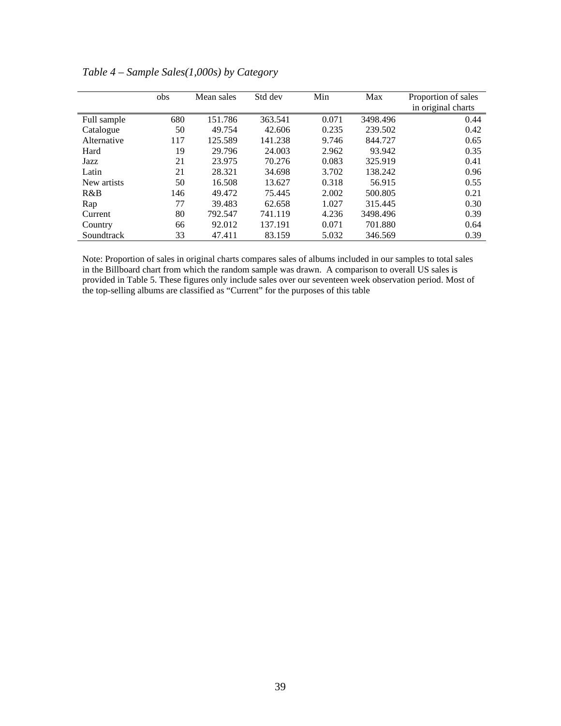|             | obs | Mean sales | Std dev | Min   | Max      | Proportion of sales<br>in original charts |
|-------------|-----|------------|---------|-------|----------|-------------------------------------------|
| Full sample | 680 | 151.786    | 363.541 | 0.071 | 3498.496 | 0.44                                      |
| Catalogue   | 50  | 49.754     | 42.606  | 0.235 | 239.502  | 0.42                                      |
| Alternative | 117 | 125.589    | 141.238 | 9.746 | 844.727  | 0.65                                      |
| Hard        | 19  | 29.796     | 24.003  | 2.962 | 93.942   | 0.35                                      |
| Jazz        | 21  | 23.975     | 70.276  | 0.083 | 325.919  | 0.41                                      |
| Latin       | 21  | 28.321     | 34.698  | 3.702 | 138.242  | 0.96                                      |
| New artists | 50  | 16.508     | 13.627  | 0.318 | 56.915   | 0.55                                      |
| R&B         | 146 | 49.472     | 75.445  | 2.002 | 500.805  | 0.21                                      |
| Rap         | 77  | 39.483     | 62.658  | 1.027 | 315.445  | 0.30                                      |
| Current     | 80  | 792.547    | 741.119 | 4.236 | 3498.496 | 0.39                                      |
| Country     | 66  | 92.012     | 137.191 | 0.071 | 701.880  | 0.64                                      |
| Soundtrack  | 33  | 47.411     | 83.159  | 5.032 | 346.569  | 0.39                                      |

*Table 4 – Sample Sales(1,000s) by Category* 

Note: Proportion of sales in original charts compares sales of albums included in our samples to total sales in the Billboard chart from which the random sample was drawn. A comparison to overall US sales is provided in Table 5. These figures only include sales over our seventeen week observation period. Most of the top-selling albums are classified as "Current" for the purposes of this table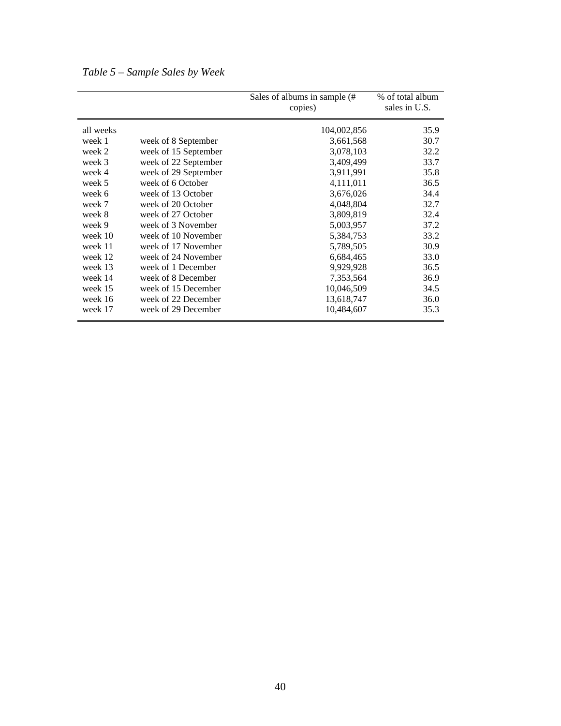|           |                      | Sales of albums in sample (#<br>copies) | % of total album<br>sales in U.S. |
|-----------|----------------------|-----------------------------------------|-----------------------------------|
| all weeks |                      | 104,002,856                             | 35.9                              |
| week 1    | week of 8 September  | 3,661,568                               | 30.7                              |
| week 2    | week of 15 September | 3,078,103                               | 32.2                              |
| week 3    | week of 22 September | 3,409,499                               | 33.7                              |
| week 4    | week of 29 September | 3,911,991                               | 35.8                              |
| week 5    | week of 6 October    | 4,111,011                               | 36.5                              |
| week 6    | week of 13 October   | 3,676,026                               | 34.4                              |
| week 7    | week of 20 October   | 4,048,804                               | 32.7                              |
| week 8    | week of 27 October   | 3,809,819                               | 32.4                              |
| week 9    | week of 3 November   | 5,003,957                               | 37.2                              |
| week 10   | week of 10 November  | 5,384,753                               | 33.2                              |
| week 11   | week of 17 November  | 5,789,505                               | 30.9                              |
| week 12   | week of 24 November  | 6,684,465                               | 33.0                              |
| week 13   | week of 1 December   | 9,929,928                               | 36.5                              |
| week 14   | week of 8 December   | 7,353,564                               | 36.9                              |
| week 15   | week of 15 December  | 10,046,509                              | 34.5                              |
| week 16   | week of 22 December  | 13,618,747                              | 36.0                              |
| week 17   | week of 29 December  | 10,484,607                              | 35.3                              |

*Table 5 – Sample Sales by Week*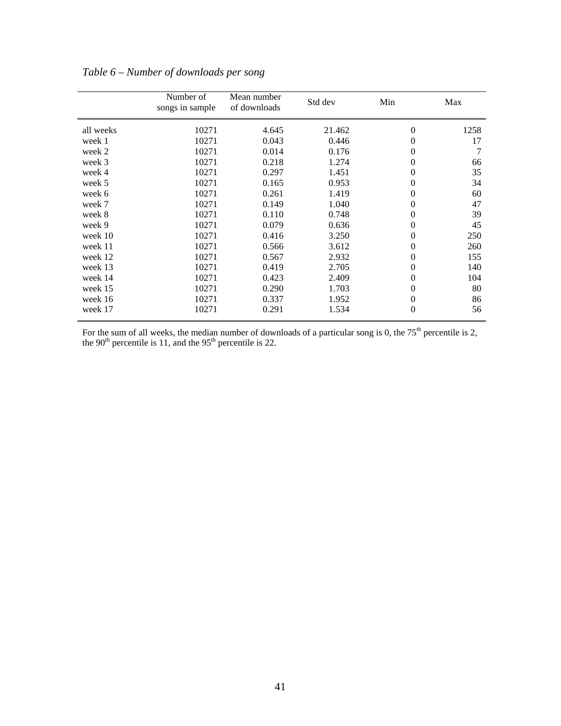|           | Number of<br>songs in sample | Mean number<br>of downloads | Std dev | Min      | Max  |
|-----------|------------------------------|-----------------------------|---------|----------|------|
| all weeks | 10271                        | 4.645                       | 21.462  | 0        | 1258 |
| week 1    | 10271                        | 0.043                       | 0.446   | 0        | 17   |
| week 2    | 10271                        | 0.014                       | 0.176   | 0        | 7    |
| week 3    | 10271                        | 0.218                       | 1.274   | 0        | 66   |
| week 4    | 10271                        | 0.297                       | 1.451   | 0        | 35   |
| week 5    | 10271                        | 0.165                       | 0.953   | 0        | 34   |
| week 6    | 10271                        | 0.261                       | 1.419   | 0        | 60   |
| week 7    | 10271                        | 0.149                       | 1.040   | 0        | 47   |
| week 8    | 10271                        | 0.110                       | 0.748   | 0        | 39   |
| week 9    | 10271                        | 0.079                       | 0.636   | 0        | 45   |
| week 10   | 10271                        | 0.416                       | 3.250   | 0        | 250  |
| week 11   | 10271                        | 0.566                       | 3.612   | 0        | 260  |
| week 12   | 10271                        | 0.567                       | 2.932   | 0        | 155  |
| week 13   | 10271                        | 0.419                       | 2.705   | 0        | 140  |
| week 14   | 10271                        | 0.423                       | 2.409   | 0        | 104  |
| week 15   | 10271                        | 0.290                       | 1.703   | 0        | 80   |
| week 16   | 10271                        | 0.337                       | 1.952   | 0        | 86   |
| week 17   | 10271                        | 0.291                       | 1.534   | $\theta$ | 56   |

*Table 6 – Number of downloads per song* 

For the sum of all weeks, the median number of downloads of a particular song is 0, the  $75<sup>th</sup>$  percentile is 2, the 90<sup>th</sup> percentile is 11, and the 95<sup>th</sup> percentile is 22.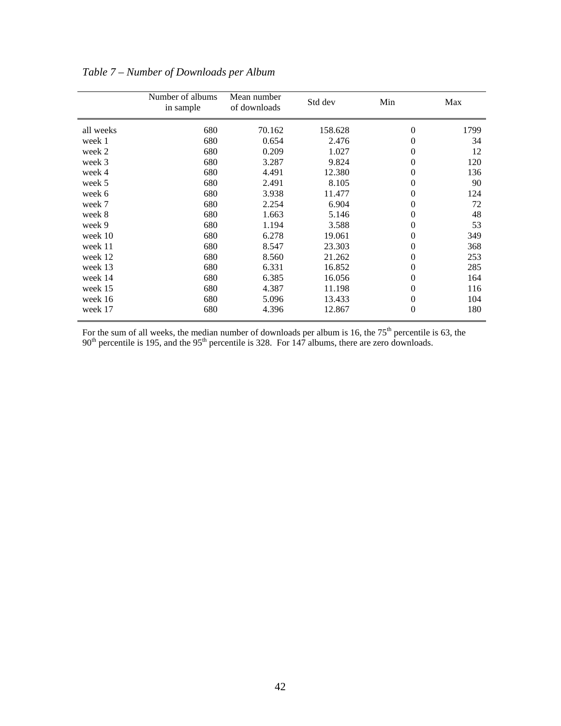|           | Number of albums<br>in sample | Mean number<br>of downloads | Std dev | Min            | Max  |
|-----------|-------------------------------|-----------------------------|---------|----------------|------|
| all weeks | 680                           | 70.162                      | 158.628 | $\theta$       | 1799 |
| week 1    | 680                           | 0.654                       | 2.476   | $\overline{0}$ | 34   |
| week 2    | 680                           | 0.209                       | 1.027   | 0              | 12   |
| week 3    | 680                           | 3.287                       | 9.824   | $\Omega$       | 120  |
| week 4    | 680                           | 4.491                       | 12.380  | 0              | 136  |
| week 5    | 680                           | 2.491                       | 8.105   | 0              | 90   |
| week 6    | 680                           | 3.938                       | 11.477  | $\overline{0}$ | 124  |
| week 7    | 680                           | 2.254                       | 6.904   | 0              | 72   |
| week 8    | 680                           | 1.663                       | 5.146   | $\overline{0}$ | 48   |
| week 9    | 680                           | 1.194                       | 3.588   | 0              | 53   |
| week 10   | 680                           | 6.278                       | 19.061  | $\theta$       | 349  |
| week 11   | 680                           | 8.547                       | 23.303  | $\overline{0}$ | 368  |
| week 12   | 680                           | 8.560                       | 21.262  | 0              | 253  |
| week 13   | 680                           | 6.331                       | 16.852  | $\overline{0}$ | 285  |
| week 14   | 680                           | 6.385                       | 16.056  | 0              | 164  |
| week 15   | 680                           | 4.387                       | 11.198  | 0              | 116  |
| week 16   | 680                           | 5.096                       | 13.433  | $\overline{0}$ | 104  |
| week 17   | 680                           | 4.396                       | 12.867  | $\overline{0}$ | 180  |

# *Table 7 – Number of Downloads per Album*

For the sum of all weeks, the median number of downloads per album is 16, the  $75<sup>th</sup>$  percentile is 63, the  $90<sup>th</sup>$  percentile is 195, and the 95<sup>th</sup> percentile is 328. For 147 albums, there are zero downloads.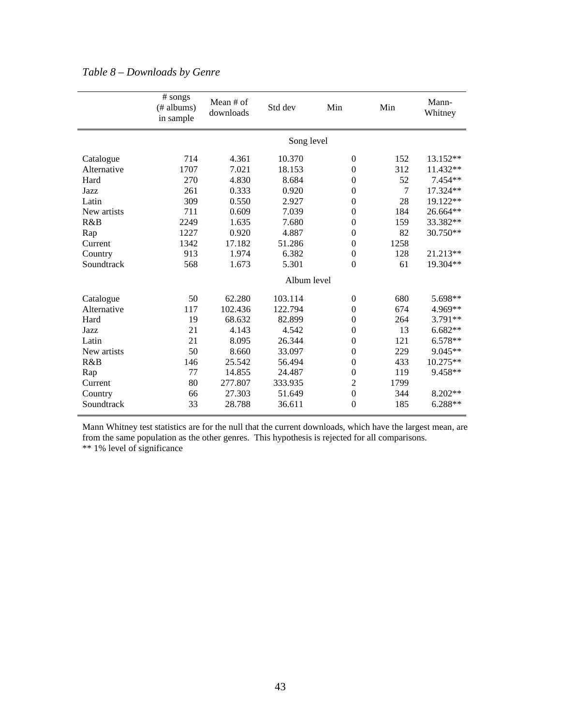|             | # songs<br>(# albums)<br>in sample | Mean # of<br>downloads | Std dev     | Min              | Min  | Mann-<br>Whitney |
|-------------|------------------------------------|------------------------|-------------|------------------|------|------------------|
|             |                                    |                        | Song level  |                  |      |                  |
| Catalogue   | 714                                | 4.361                  | 10.370      | $\boldsymbol{0}$ | 152  | 13.152**         |
| Alternative | 1707                               | 7.021                  | 18.153      | $\theta$         | 312  | 11.432**         |
| Hard        | 270                                | 4.830                  | 8.684       | $\boldsymbol{0}$ | 52   | 7.454**          |
| Jazz        | 261                                | 0.333                  | 0.920       | $\mathbf{0}$     | 7    | 17.324**         |
| Latin       | 309                                | 0.550                  | 2.927       | $\theta$         | 28   | 19.122**         |
| New artists | 711                                | 0.609                  | 7.039       | $\theta$         | 184  | 26.664**         |
| R&B         | 2249                               | 1.635                  | 7.680       | $\boldsymbol{0}$ | 159  | 33.382**         |
| Rap         | 1227                               | 0.920                  | 4.887       | $\Omega$         | 82   | 30.750**         |
| Current     | 1342                               | 17.182                 | 51.286      | $\theta$         | 1258 |                  |
| Country     | 913                                | 1.974                  | 6.382       | $\boldsymbol{0}$ | 128  | 21.213**         |
| Soundtrack  | 568                                | 1.673                  | 5.301       | $\theta$         | 61   | 19.304**         |
|             |                                    |                        | Album level |                  |      |                  |
| Catalogue   | 50                                 | 62.280                 | 103.114     | $\mathbf{0}$     | 680  | 5.698**          |
| Alternative | 117                                | 102.436                | 122.794     | $\theta$         | 674  | 4.969**          |
| Hard        | 19                                 | 68.632                 | 82.899      | $\Omega$         | 264  | 3.791**          |
| Jazz        | 21                                 | 4.143                  | 4.542       | $\mathbf{0}$     | 13   | $6.682**$        |
| Latin       | 21                                 | 8.095                  | 26.344      | $\boldsymbol{0}$ | 121  | 6.578**          |
| New artists | 50                                 | 8.660                  | 33.097      | $\theta$         | 229  | $9.045**$        |
| R&B         | 146                                | 25.542                 | 56.494      | $\boldsymbol{0}$ | 433  | 10.275**         |
| Rap         | 77                                 | 14.855                 | 24.487      | $\theta$         | 119  | 9.458**          |
| Current     | 80                                 | 277.807                | 333.935     | $\overline{2}$   | 1799 |                  |
| Country     | 66                                 | 27.303                 | 51.649      | $\boldsymbol{0}$ | 344  | 8.202**          |
| Soundtrack  | 33                                 | 28.788                 | 36.611      | $\theta$         | 185  | $6.288**$        |

Mann Whitney test statistics are for the null that the current downloads, which have the largest mean, are from the same population as the other genres. This hypothesis is rejected for all comparisons. \*\* 1% level of significance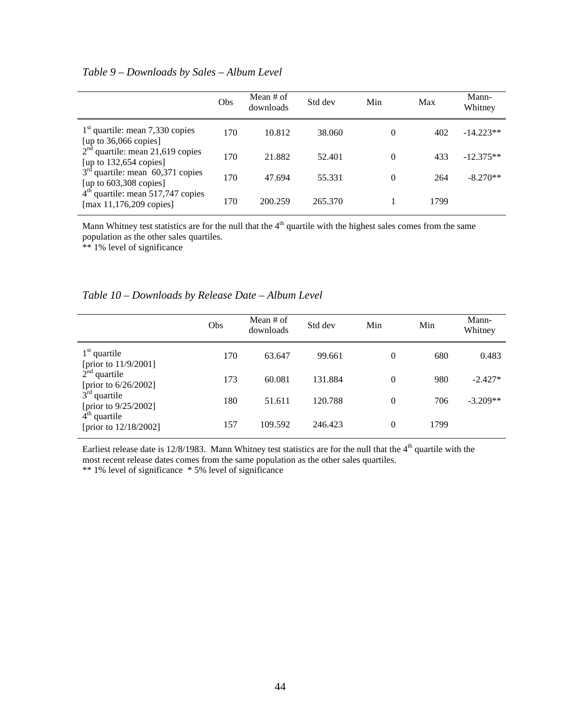## *Table 9 – Downloads by Sales – Album Level*

|                                                                                                  | Obs | Mean # of<br>downloads | Std dev | Min      | Max  | Mann-<br>Whitney |
|--------------------------------------------------------------------------------------------------|-----|------------------------|---------|----------|------|------------------|
| $1st$ quartile: mean 7,330 copies<br>[up to 36,066 copies]<br>$2nd$ quartile: mean 21,619 copies | 170 | 10.812                 | 38.060  | $\theta$ | 402  | $-14.223**$      |
| [up to $132,654$ copies]                                                                         | 170 | 21.882                 | 52.401  | $\theta$ | 433  | $-12.375**$      |
| $3rd$ quartile: mean 60,371 copies<br>[up to $603,308$ copies]                                   | 170 | 47.694                 | 55.331  | $\theta$ | 264  | $-8.270**$       |
| $4th$ quartile: mean 517,747 copies<br>[max $11,176,209$ copies]                                 | 170 | 200.259                | 265.370 |          | 1799 |                  |

Mann Whitney test statistics are for the null that the 4<sup>th</sup> quartile with the highest sales comes from the same population as the other sales quartiles.

\*\* 1% level of significance

| Table 10 – Downloads by Release Date – Album Level |  |  |  |
|----------------------------------------------------|--|--|--|
|----------------------------------------------------|--|--|--|

|                                           | Obs | Mean $#$ of<br>downloads | Std dev | Min      | Min  | Mann-<br>Whitney |
|-------------------------------------------|-----|--------------------------|---------|----------|------|------------------|
| $1st$ quartile<br>[prior to 11/9/2001]    | 170 | 63.647                   | 99.661  | 0        | 680  | 0.483            |
| $2nd$ quartile<br>[prior to $6/26/2002$ ] | 173 | 60.081                   | 131.884 | 0        | 980  | $-2.427*$        |
| $3rd$ quartile<br>[prior to 9/25/2002]    | 180 | 51.611                   | 120.788 | $\theta$ | 706  | $-3.209**$       |
| $4th$ quartile<br>[prior to 12/18/2002]   | 157 | 109.592                  | 246.423 | 0        | 1799 |                  |

Earliest release date is  $12/8/1983$ . Mann Whitney test statistics are for the null that the  $4<sup>th</sup>$  quartile with the most recent release dates comes from the same population as the other sales quartiles. \*\* 1% level of significance \* 5% level of significance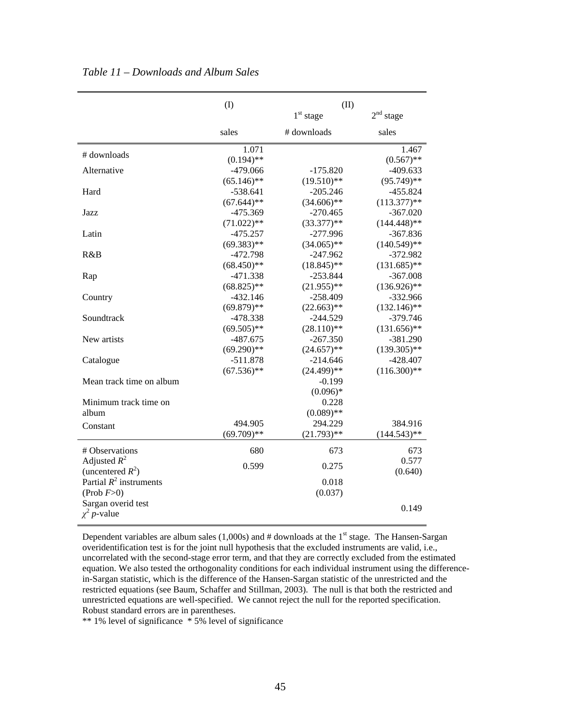|                           | (1)                   | (II)          |                       |
|---------------------------|-----------------------|---------------|-----------------------|
|                           |                       | $1st$ stage   | 2 <sup>nd</sup> stage |
|                           | sales                 | # downloads   | sales                 |
| # downloads               | 1.071<br>$(0.194)$ ** |               | 1.467<br>$(0.567)$ ** |
| Alternative               | $-479.066$            | $-175.820$    | $-409.633$            |
|                           | $(65.146)$ **         | $(19.510)$ ** | $(95.749)$ **         |
| Hard                      | $-538.641$            | $-205.246$    | $-455.824$            |
|                           | $(67.644)$ **         | $(34.606)$ ** | $(113.377)**$         |
| Jazz                      | $-475.369$            | $-270.465$    | $-367.020$            |
|                           | $(71.022)$ **         | $(33.377)$ ** | $(144.448)$ **        |
| Latin                     | $-475.257$            | $-277.996$    | $-367.836$            |
|                           | $(69.383)$ **         | $(34.065)$ ** | $(140.549)$ **        |
| R&B                       | $-472.798$            | $-247.962$    | $-372.982$            |
|                           | $(68.450)$ **         | $(18.845)$ ** | $(131.685)$ **        |
| Rap                       | $-471.338$            | $-253.844$    | $-367.008$            |
|                           | $(68.825)$ **         | $(21.955)$ ** | $(136.926)$ **        |
| Country                   | $-432.146$            | $-258.409$    | $-332.966$            |
|                           | $(69.879)$ **         | $(22.663)$ ** | $(132.146)$ **        |
| Soundtrack                | -478.338              | -244.529      | -379.746              |
|                           | $(69.505)$ **         | $(28.110)$ ** | $(131.656)$ **        |
| New artists               | $-487.675$            | $-267.350$    | $-381.290$            |
|                           | $(69.290)**$          | $(24.657)$ ** | $(139.305)$ **        |
| Catalogue                 | $-511.878$            | $-214.646$    | $-428.407$            |
|                           | $(67.536)$ **         | $(24.499)$ ** | $(116.300)$ **        |
| Mean track time on album  |                       | $-0.199$      |                       |
|                           |                       | $(0.096)*$    |                       |
| Minimum track time on     |                       | 0.228         |                       |
| album                     |                       | $(0.089)$ **  |                       |
|                           |                       | 294.229       |                       |
| Constant                  | 494.905               |               | 384.916               |
|                           | $(69.709)**$          | $(21.793)$ ** | $(144.543)$ **        |
| # Observations            | 680                   | 673           | 673                   |
| Adjusted $R^2$            |                       |               | 0.577                 |
| (uncentered $R^2$ )       | 0.599                 | 0.275         | (0.640)               |
| Partial $R^2$ instruments |                       | 0.018         |                       |
| (Prob $F>0$ )             |                       | (0.037)       |                       |
| Sargan overid test        |                       |               |                       |
| $\chi^2$ <i>p</i> -value  |                       |               | 0.149                 |
|                           |                       |               |                       |

*Table 11 – Downloads and Album Sales*

Dependent variables are album sales  $(1,000s)$  and # downloads at the 1<sup>st</sup> stage. The Hansen-Sargan overidentification test is for the joint null hypothesis that the excluded instruments are valid, i.e., uncorrelated with the second-stage error term, and that they are correctly excluded from the estimated equation. We also tested the orthogonality conditions for each individual instrument using the differencein-Sargan statistic, which is the difference of the Hansen-Sargan statistic of the unrestricted and the restricted equations (see Baum, Schaffer and Stillman, 2003). The null is that both the restricted and unrestricted equations are well-specified. We cannot reject the null for the reported specification. Robust standard errors are in parentheses.

\*\* 1% level of significance \* 5% level of significance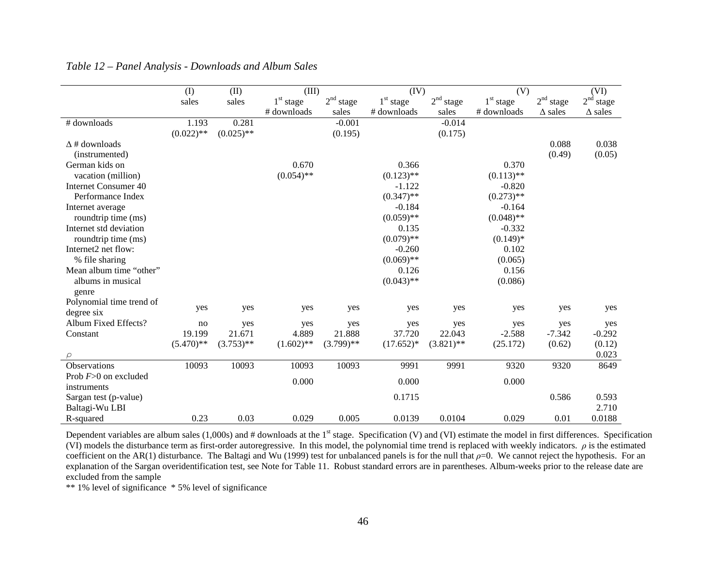|                             | (1)          | (II)         | (III)        |                          | (IV)         |                       | (V)          |                       | (VI)                     |
|-----------------------------|--------------|--------------|--------------|--------------------------|--------------|-----------------------|--------------|-----------------------|--------------------------|
|                             | sales        | sales        | $1st$ stage  | 2 <sup>nd</sup><br>stage | $1st$ stage  | 2 <sup>nd</sup> stage | $1st$ stage  | 2 <sup>nd</sup> stage | 2 <sup>nd</sup><br>stage |
|                             |              |              | # downloads  | sales                    | # downloads  | sales                 | # downloads  | $\triangle$ sales     | $\triangle$ sales        |
| # downloads                 | 1.193        | 0.281        |              | $-0.001$                 |              | $-0.014$              |              |                       |                          |
|                             | $(0.022)$ ** | $(0.025)$ ** |              | (0.195)                  |              | (0.175)               |              |                       |                          |
| $\Delta$ # downloads        |              |              |              |                          |              |                       |              | 0.088                 | 0.038                    |
| (instrumented)              |              |              |              |                          |              |                       |              | (0.49)                | (0.05)                   |
| German kids on              |              |              | 0.670        |                          | 0.366        |                       | 0.370        |                       |                          |
| vacation (million)          |              |              | $(0.054)$ ** |                          | $(0.123)$ ** |                       | $(0.113)$ ** |                       |                          |
| <b>Internet Consumer 40</b> |              |              |              |                          | $-1.122$     |                       | $-0.820$     |                       |                          |
| Performance Index           |              |              |              |                          | $(0.347)$ ** |                       | $(0.273)$ ** |                       |                          |
| Internet average            |              |              |              |                          | $-0.184$     |                       | $-0.164$     |                       |                          |
| roundtrip time (ms)         |              |              |              |                          | $(0.059)$ ** |                       | $(0.048)$ ** |                       |                          |
| Internet std deviation      |              |              |              |                          | 0.135        |                       | $-0.332$     |                       |                          |
| roundtrip time (ms)         |              |              |              |                          | $(0.079)$ ** |                       | $(0.149)*$   |                       |                          |
| Internet2 net flow:         |              |              |              |                          | $-0.260$     |                       | 0.102        |                       |                          |
| % file sharing              |              |              |              |                          | $(0.069)$ ** |                       | (0.065)      |                       |                          |
| Mean album time "other"     |              |              |              |                          | 0.126        |                       | 0.156        |                       |                          |
| albums in musical           |              |              |              |                          | $(0.043)$ ** |                       | (0.086)      |                       |                          |
| genre                       |              |              |              |                          |              |                       |              |                       |                          |
| Polynomial time trend of    |              |              |              |                          |              |                       |              |                       |                          |
| degree six                  | yes          | yes          | yes          | yes                      | yes          | yes                   | yes          | yes                   | yes                      |
| Album Fixed Effects?        | no           | yes          | yes          | yes                      | yes          | yes                   | yes          | yes                   | yes                      |
| Constant                    | 19.199       | 21.671       | 4.889        | 21.888                   | 37.720       | 22.043                | $-2.588$     | $-7.342$              | $-0.292$                 |
|                             | $(5.470)$ ** | $(3.753)$ ** | $(1.602)$ ** | $(3.799)$ **             | $(17.652)*$  | $(3.821)$ **          | (25.172)     | (0.62)                | (0.12)                   |
|                             |              |              |              |                          |              |                       |              |                       | 0.023                    |
| Observations                | 10093        | 10093        | 10093        | 10093                    | 9991         | 9991                  | 9320         | 9320                  | 8649                     |
| Prob $F>0$ on excluded      |              |              | 0.000        |                          | 0.000        |                       | 0.000        |                       |                          |
| instruments                 |              |              |              |                          |              |                       |              |                       |                          |
| Sargan test (p-value)       |              |              |              |                          | 0.1715       |                       |              | 0.586                 | 0.593                    |
| Baltagi-Wu LBI              |              |              |              |                          |              |                       |              |                       | 2.710                    |
| R-squared                   | 0.23         | 0.03         | 0.029        | 0.005                    | 0.0139       | 0.0104                | 0.029        | 0.01                  | 0.0188                   |

Dependent variables are album sales  $(1,000s)$  and # downloads at the 1<sup>st</sup> stage. Specification (V) and (VI) estimate the model in first differences. Specification (VI) models the disturbance term as first-order autoregressive. In this model, the polynomial time trend is replaced with weekly indicators.  $\rho$  is the estimated coefficient on the AR(1) disturbance. The Baltagi and Wu (1999) test for unbalanced panels is for the null that  $\rho$ =0. We cannot reject the hypothesis. For an explanation of the Sargan overidentification test, see Note for Table 11. Robust standard errors are in parentheses. Album-weeks prior to the release date are excluded from the sample

\*\* 1% level of significance \* 5% level of significance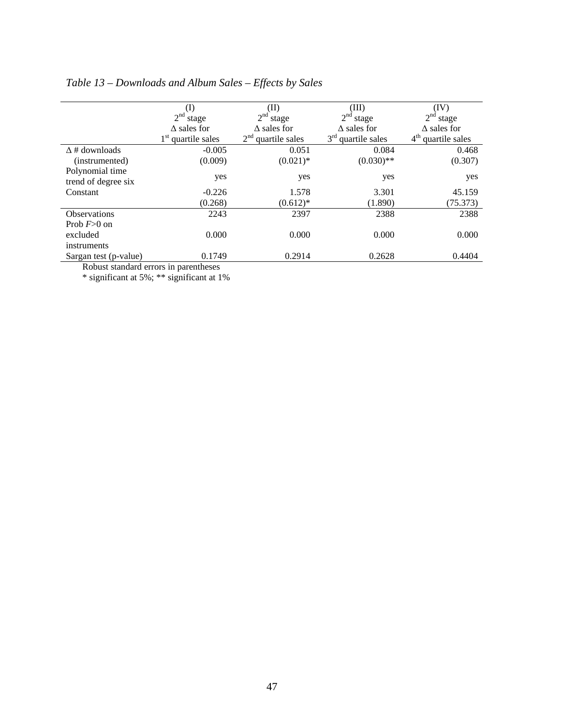|                                       | (I)                      | (II)                              | (III)                             | (IV)                              |  |  |
|---------------------------------------|--------------------------|-----------------------------------|-----------------------------------|-----------------------------------|--|--|
|                                       | 2 <sup>nd</sup><br>stage | 2 <sup>nd</sup><br>stage          | 2 <sup>nd</sup><br>stage          | 2 <sup>nd</sup> stage             |  |  |
|                                       | $\Delta$ sales for       | $\Delta$ sales for                | $\Delta$ sales for                | $\Delta$ sales for                |  |  |
|                                       | $1st$ quartile sales     | 2 <sup>nd</sup><br>quartile sales | 3 <sup>rd</sup><br>quartile sales | 4 <sup>th</sup><br>quartile sales |  |  |
| $\Delta$ # downloads                  | $-0.005$                 | 0.051                             | 0.084                             | 0.468                             |  |  |
| (instrumented)                        | (0.009)                  | $(0.021)$ *                       | $(0.030)$ **                      | (0.307)                           |  |  |
| Polynomial time                       |                          |                                   |                                   |                                   |  |  |
| trend of degree six                   | yes                      | yes                               | yes                               | yes                               |  |  |
| Constant                              | $-0.226$                 | 1.578                             | 3.301                             | 45.159                            |  |  |
|                                       | (0.268)                  | $(0.612)*$                        | (1.890)                           | (75.373)                          |  |  |
| Observations                          | 2243                     | 2397                              | 2388                              | 2388                              |  |  |
| Prob $F>0$ on                         |                          |                                   |                                   |                                   |  |  |
| excluded                              | 0.000                    | 0.000                             | 0.000                             | 0.000                             |  |  |
| instruments                           |                          |                                   |                                   |                                   |  |  |
| Sargan test (p-value)                 | 0.1749                   | 0.2914                            | 0.2628                            | 0.4404                            |  |  |
| Dobust standard arrars in paranthosos |                          |                                   |                                   |                                   |  |  |

# *Table 13 – Downloads and Album Sales – Effects by Sales*

Robust standard errors in parentheses

\* significant at 5%; \*\* significant at 1%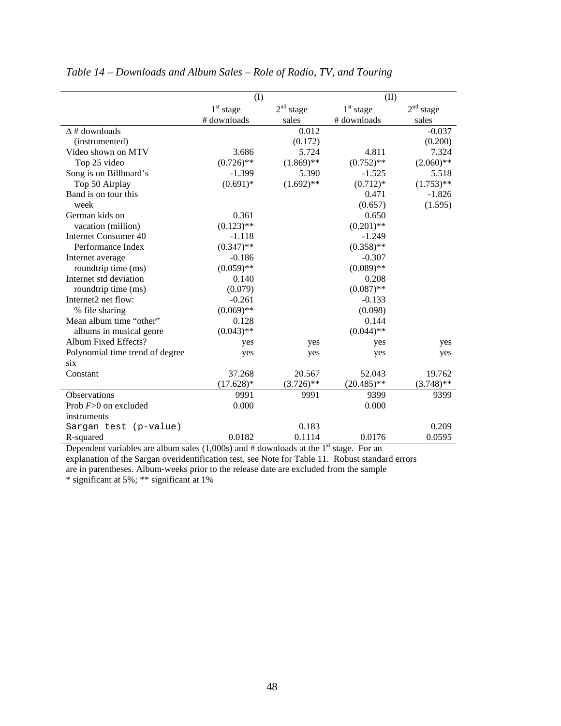|                                 | (1)          |                       | (II)          |                       |  |
|---------------------------------|--------------|-----------------------|---------------|-----------------------|--|
|                                 | $1st$ stage  | 2 <sup>nd</sup> stage | $1st$ stage   | 2 <sup>nd</sup> stage |  |
|                                 | # downloads  | sales                 | # downloads   | sales                 |  |
| $\Delta$ # downloads            |              | 0.012                 |               | $-0.037$              |  |
| (instrumented)                  |              | (0.172)               |               | (0.200)               |  |
| Video shown on MTV              | 3.686        | 5.724                 | 4.811         | 7.324                 |  |
| Top 25 video                    | $(0.726)$ ** | $(1.869)$ **          | $(0.752)$ **  | $(2.060)$ **          |  |
| Song is on Billboard's          | $-1.399$     | 5.390                 | $-1.525$      | 5.518                 |  |
| Top 50 Airplay                  | $(0.691)*$   | $(1.692)$ **          | $(0.712)*$    | $(1.753)$ **          |  |
| Band is on tour this            |              |                       | 0.471         | $-1.826$              |  |
| week                            |              |                       | (0.657)       | (1.595)               |  |
| German kids on                  | 0.361        |                       | 0.650         |                       |  |
| vacation (million)              | $(0.123)$ ** |                       | $(0.201)$ **  |                       |  |
| <b>Internet Consumer 40</b>     | $-1.118$     |                       | $-1.249$      |                       |  |
| Performance Index               | $(0.347)$ ** |                       | $(0.358)$ **  |                       |  |
| Internet average                | $-0.186$     |                       | $-0.307$      |                       |  |
| roundtrip time (ms)             | $(0.059)$ ** |                       | $(0.089)$ **  |                       |  |
| Internet std deviation          | 0.140        |                       | 0.208         |                       |  |
| roundtrip time (ms)             | (0.079)      |                       | $(0.087)$ **  |                       |  |
| Internet2 net flow:             | $-0.261$     |                       | $-0.133$      |                       |  |
| % file sharing                  | $(0.069)$ ** |                       | (0.098)       |                       |  |
| Mean album time "other"         | 0.128        |                       | 0.144         |                       |  |
| albums in musical genre         | $(0.043)$ ** |                       | $(0.044)$ **  |                       |  |
| Album Fixed Effects?            | yes          | yes                   | yes           | yes                   |  |
| Polynomial time trend of degree | yes          | yes                   | yes           | yes                   |  |
| six                             |              |                       |               |                       |  |
| Constant                        | 37.268       | 20.567                | 52.043        | 19.762                |  |
|                                 | $(17.628)*$  | $(3.726)$ **          | $(20.485)$ ** | $(3.748)$ **          |  |
| <b>Observations</b>             | 9991         | 9991                  | 9399          | 9399                  |  |
| Prob $F>0$ on excluded          | 0.000        |                       | 0.000         |                       |  |
| instruments                     |              |                       |               |                       |  |
| Sargan test (p-value)           |              | 0.183                 |               | 0.209                 |  |
| R-squared                       | 0.0182       | 0.1114                | 0.0176        | 0.0595                |  |

## *Table 14 – Downloads and Album Sales – Role of Radio, TV, and Touring*

Dependent variables are album sales  $(1,000s)$  and # downloads at the 1<sup>st</sup> stage. For an

explanation of the Sargan overidentification test, see Note for Table 11. Robust standard errors are in parentheses. Album-weeks prior to the release date are excluded from the sample

\* significant at 5%; \*\* significant at 1%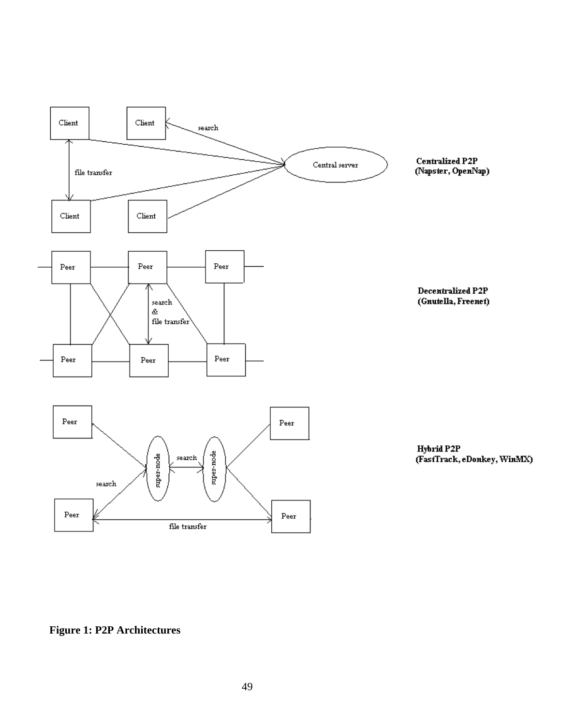

**Figure 1: P2P Architectures**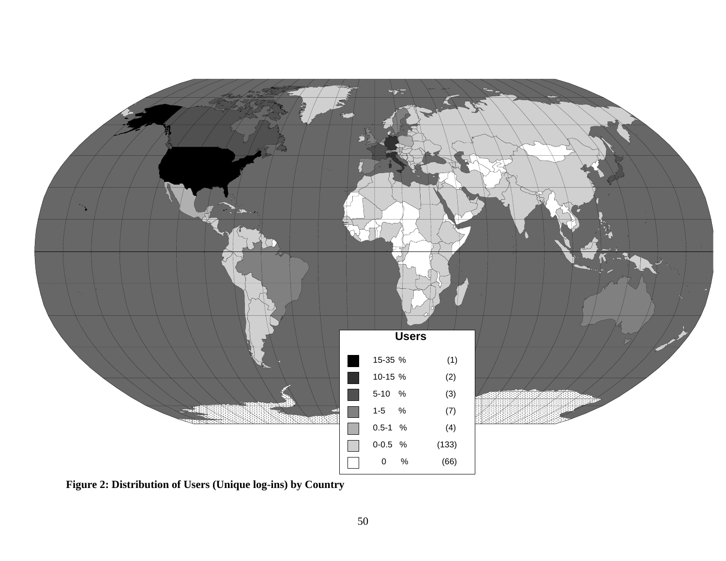

**Figure 2: Distribution of Users (Unique log-ins) by Country**